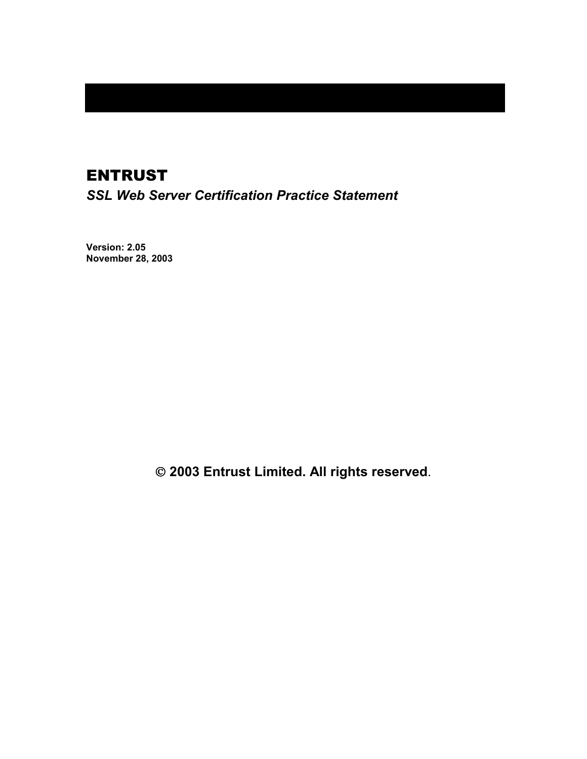## ENTRUST

*SSL Web Server Certification Practice Statement* 

**Version: 2.05 November 28, 2003** 

 **2003 Entrust Limited. All rights reserved**.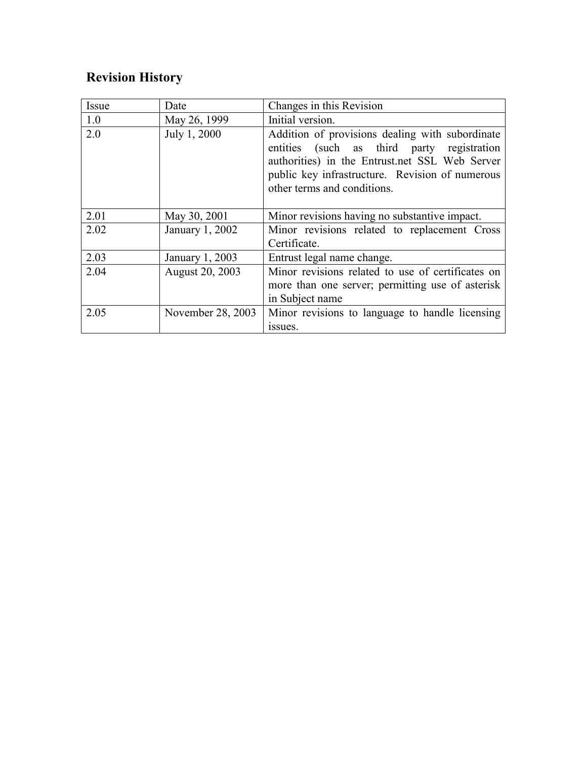## **Revision History**

| Issue | Date              | Changes in this Revision                                                                                                                                                                                                          |
|-------|-------------------|-----------------------------------------------------------------------------------------------------------------------------------------------------------------------------------------------------------------------------------|
| 1.0   | May 26, 1999      | Initial version.                                                                                                                                                                                                                  |
| 2.0   | July 1, 2000      | Addition of provisions dealing with subordinate<br>entities (such as third party registration<br>authorities) in the Entrust.net SSL Web Server<br>public key infrastructure. Revision of numerous<br>other terms and conditions. |
| 2.01  | May 30, 2001      | Minor revisions having no substantive impact.                                                                                                                                                                                     |
| 2.02  | January 1, 2002   | Minor revisions related to replacement Cross<br>Certificate.                                                                                                                                                                      |
| 2.03  | January 1, 2003   | Entrust legal name change.                                                                                                                                                                                                        |
| 2.04  | August 20, 2003   | Minor revisions related to use of certificates on<br>more than one server; permitting use of asterisk<br>in Subject name                                                                                                          |
| 2.05  | November 28, 2003 | Minor revisions to language to handle licensing<br>issues.                                                                                                                                                                        |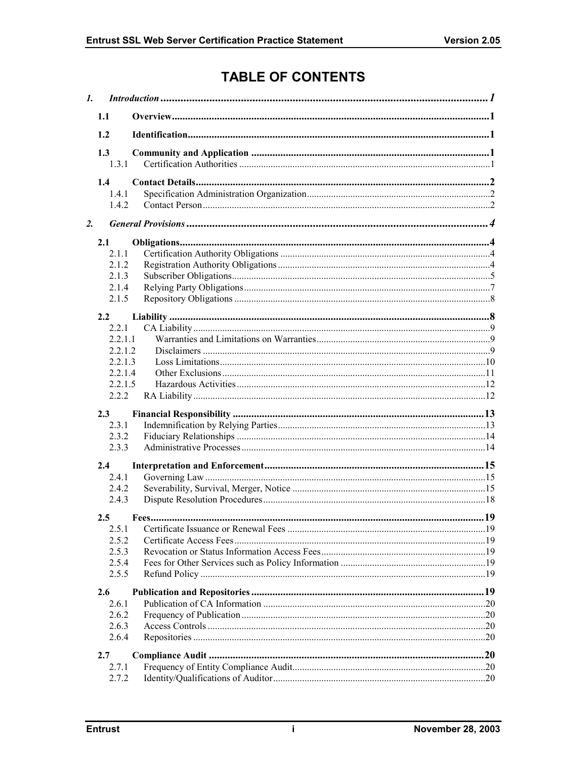# **TABLE OF CONTENTS**

| 1.1<br>1.2<br>1.3<br>1.3.1<br>1.4<br>1.4.1<br>1.4.2<br>2.<br>2.1<br>2.1.1<br>2.1.2<br>2.1.3<br>2.1.4<br>2.1.5<br>$2.2^{\circ}$<br>2.2.1<br>2211<br>2.2.1.2<br>2.2.1.3<br>2.2.1.4<br>2.2.1.5<br>2.2.2<br>2.3<br>2.3.1<br>2.3.2<br>2.3.3<br>2.4<br>2.4.1<br>2.4.2<br>2.4.3<br>2.5<br>2.5.1<br>2.5.2<br>2.5.3<br>2.5.4<br>2.5.5<br>2.6<br>2.6.1<br>2.6.2<br>2.6.3<br>2.6.4<br>2.7<br>2.7.1<br>2.7.2 | $\mathbf{I}$ . |  |  |
|--------------------------------------------------------------------------------------------------------------------------------------------------------------------------------------------------------------------------------------------------------------------------------------------------------------------------------------------------------------------------------------------------|----------------|--|--|
|                                                                                                                                                                                                                                                                                                                                                                                                  |                |  |  |
|                                                                                                                                                                                                                                                                                                                                                                                                  |                |  |  |
|                                                                                                                                                                                                                                                                                                                                                                                                  |                |  |  |
|                                                                                                                                                                                                                                                                                                                                                                                                  |                |  |  |
|                                                                                                                                                                                                                                                                                                                                                                                                  |                |  |  |
|                                                                                                                                                                                                                                                                                                                                                                                                  |                |  |  |
|                                                                                                                                                                                                                                                                                                                                                                                                  |                |  |  |
|                                                                                                                                                                                                                                                                                                                                                                                                  |                |  |  |
|                                                                                                                                                                                                                                                                                                                                                                                                  |                |  |  |
|                                                                                                                                                                                                                                                                                                                                                                                                  |                |  |  |
|                                                                                                                                                                                                                                                                                                                                                                                                  |                |  |  |
|                                                                                                                                                                                                                                                                                                                                                                                                  |                |  |  |
|                                                                                                                                                                                                                                                                                                                                                                                                  |                |  |  |
|                                                                                                                                                                                                                                                                                                                                                                                                  |                |  |  |
|                                                                                                                                                                                                                                                                                                                                                                                                  |                |  |  |
|                                                                                                                                                                                                                                                                                                                                                                                                  |                |  |  |
|                                                                                                                                                                                                                                                                                                                                                                                                  |                |  |  |
|                                                                                                                                                                                                                                                                                                                                                                                                  |                |  |  |
|                                                                                                                                                                                                                                                                                                                                                                                                  |                |  |  |
|                                                                                                                                                                                                                                                                                                                                                                                                  |                |  |  |
|                                                                                                                                                                                                                                                                                                                                                                                                  |                |  |  |
|                                                                                                                                                                                                                                                                                                                                                                                                  |                |  |  |
|                                                                                                                                                                                                                                                                                                                                                                                                  |                |  |  |
|                                                                                                                                                                                                                                                                                                                                                                                                  |                |  |  |
|                                                                                                                                                                                                                                                                                                                                                                                                  |                |  |  |
|                                                                                                                                                                                                                                                                                                                                                                                                  |                |  |  |
|                                                                                                                                                                                                                                                                                                                                                                                                  |                |  |  |
|                                                                                                                                                                                                                                                                                                                                                                                                  |                |  |  |
|                                                                                                                                                                                                                                                                                                                                                                                                  |                |  |  |
|                                                                                                                                                                                                                                                                                                                                                                                                  |                |  |  |
|                                                                                                                                                                                                                                                                                                                                                                                                  |                |  |  |
|                                                                                                                                                                                                                                                                                                                                                                                                  |                |  |  |
|                                                                                                                                                                                                                                                                                                                                                                                                  |                |  |  |
|                                                                                                                                                                                                                                                                                                                                                                                                  |                |  |  |
|                                                                                                                                                                                                                                                                                                                                                                                                  |                |  |  |
|                                                                                                                                                                                                                                                                                                                                                                                                  |                |  |  |
|                                                                                                                                                                                                                                                                                                                                                                                                  |                |  |  |
|                                                                                                                                                                                                                                                                                                                                                                                                  |                |  |  |
|                                                                                                                                                                                                                                                                                                                                                                                                  |                |  |  |
|                                                                                                                                                                                                                                                                                                                                                                                                  |                |  |  |
|                                                                                                                                                                                                                                                                                                                                                                                                  |                |  |  |
|                                                                                                                                                                                                                                                                                                                                                                                                  |                |  |  |
|                                                                                                                                                                                                                                                                                                                                                                                                  |                |  |  |
|                                                                                                                                                                                                                                                                                                                                                                                                  |                |  |  |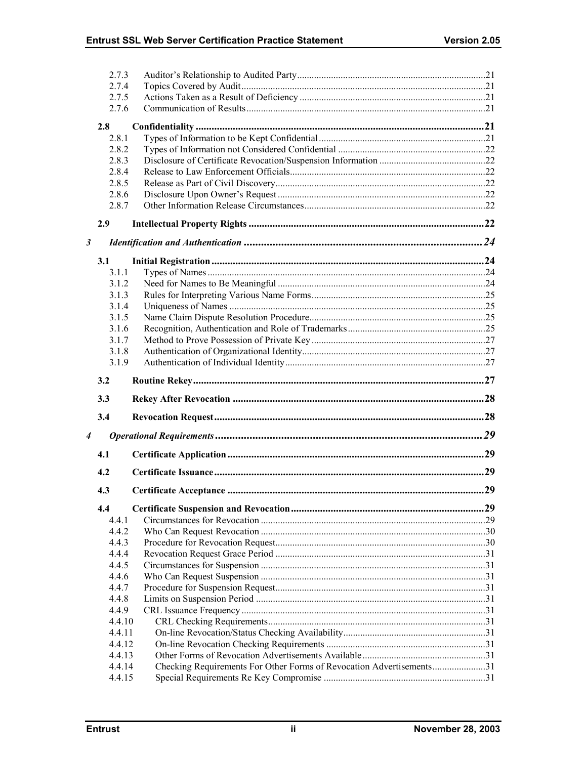|                      | 2.7.3            |                                                                      |  |
|----------------------|------------------|----------------------------------------------------------------------|--|
|                      |                  |                                                                      |  |
|                      | 2.7.4            |                                                                      |  |
|                      | 2.7.5            |                                                                      |  |
|                      | 2.7.6            |                                                                      |  |
|                      | 2.8              |                                                                      |  |
|                      | 2.8.1            |                                                                      |  |
|                      | 2.8.2            |                                                                      |  |
|                      | 2.8.3            |                                                                      |  |
|                      | 2.8.4            |                                                                      |  |
|                      | 2.8.5            |                                                                      |  |
|                      | 2.8.6            |                                                                      |  |
|                      | 2.8.7            |                                                                      |  |
|                      | 2.9              |                                                                      |  |
|                      |                  |                                                                      |  |
| $\boldsymbol{\beta}$ |                  |                                                                      |  |
|                      | 3.1              |                                                                      |  |
|                      | 3.1.1            |                                                                      |  |
|                      | 3.1.2            |                                                                      |  |
|                      | 3.1.3            |                                                                      |  |
|                      | 3.1.4            |                                                                      |  |
|                      | 3.1.5            |                                                                      |  |
|                      | 3.1.6            |                                                                      |  |
|                      | 3.1.7            |                                                                      |  |
|                      | 3.1.8            |                                                                      |  |
|                      | 3.1.9            |                                                                      |  |
|                      |                  |                                                                      |  |
|                      |                  |                                                                      |  |
|                      | 3.2              |                                                                      |  |
|                      | 3.3              |                                                                      |  |
|                      | 3.4              |                                                                      |  |
| 4                    |                  |                                                                      |  |
|                      | 4.1              |                                                                      |  |
|                      | 4.2              |                                                                      |  |
|                      |                  |                                                                      |  |
|                      | 4.3              |                                                                      |  |
|                      | 4.4              |                                                                      |  |
|                      | 4.4.1            |                                                                      |  |
|                      | 442              |                                                                      |  |
|                      | 4.4.3            |                                                                      |  |
|                      | 4.4.4            |                                                                      |  |
|                      | 4.4.5            |                                                                      |  |
|                      | 4.4.6            |                                                                      |  |
|                      | 4.4.7            |                                                                      |  |
|                      | 4.4.8            |                                                                      |  |
|                      | 4.4.9            |                                                                      |  |
|                      | 4.4.10           |                                                                      |  |
|                      | 4.4.11           |                                                                      |  |
|                      | 4.4.12           |                                                                      |  |
|                      | 4.4.13           |                                                                      |  |
|                      | 4.4.14<br>4.4.15 | Checking Requirements For Other Forms of Revocation Advertisements31 |  |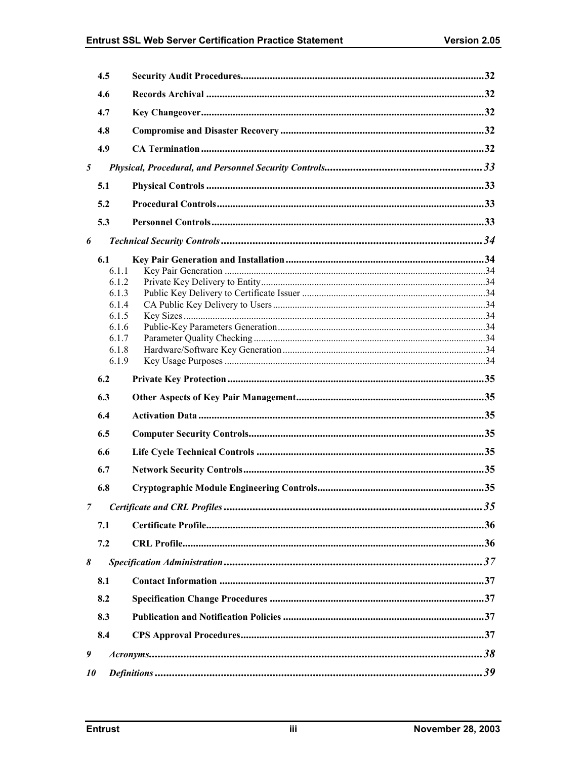|   | 4.5            |  |
|---|----------------|--|
|   | 4.6            |  |
|   | 4.7            |  |
|   | 4.8            |  |
|   | 4.9            |  |
| 5 |                |  |
|   | 5.1            |  |
|   | 5.2            |  |
|   |                |  |
|   | 5.3            |  |
| 6 |                |  |
|   | 6.1            |  |
|   | 6.1.1<br>6.1.2 |  |
|   | 6.1.3          |  |
|   | 6.1.4          |  |
|   | 6.1.5          |  |
|   | 6.1.6          |  |
|   | 6.1.7          |  |
|   | 6.1.8          |  |
|   | 6.1.9          |  |
|   | 6.2            |  |
|   |                |  |
|   | 6.3            |  |
|   | 6.4            |  |
|   | 6.5            |  |
|   | 6.6            |  |
|   | 6.7            |  |
|   | 6.8            |  |
| 7 |                |  |
|   | 7.1            |  |
|   | 7.2            |  |
| 8 |                |  |
|   |                |  |
|   | 8.1            |  |
|   | 8.2            |  |
|   | 8.3            |  |
|   | 8.4            |  |
| 9 |                |  |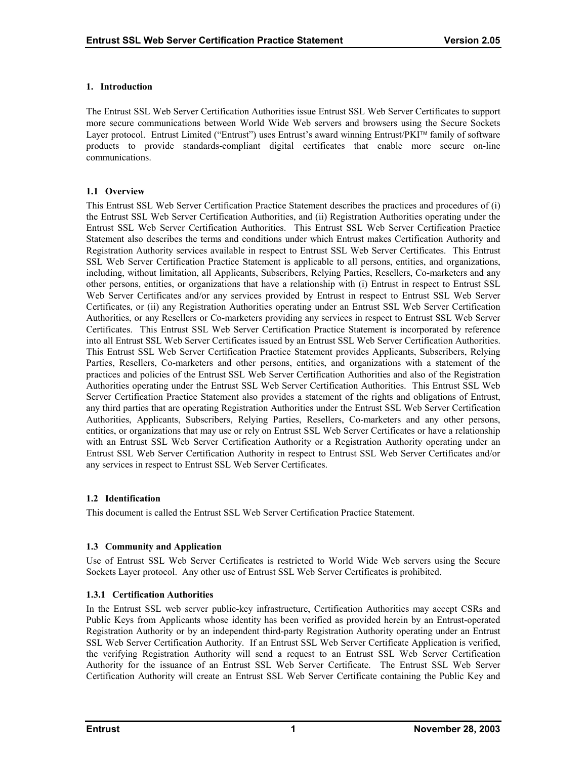## <span id="page-5-0"></span>**1. Introduction**

The Entrust SSL Web Server Certification Authorities issue Entrust SSL Web Server Certificates to support more secure communications between World Wide Web servers and browsers using the Secure Sockets Layer protocol. Entrust Limited ("Entrust") uses Entrust's award winning Entrust/PKI™ family of software products to provide standards-compliant digital certificates that enable more secure on-line communications.

## **1.1 Overview**

This Entrust SSL Web Server Certification Practice Statement describes the practices and procedures of (i) the Entrust SSL Web Server Certification Authorities, and (ii) Registration Authorities operating under the Entrust SSL Web Server Certification Authorities. This Entrust SSL Web Server Certification Practice Statement also describes the terms and conditions under which Entrust makes Certification Authority and Registration Authority services available in respect to Entrust SSL Web Server Certificates. This Entrust SSL Web Server Certification Practice Statement is applicable to all persons, entities, and organizations, including, without limitation, all Applicants, Subscribers, Relying Parties, Resellers, Co-marketers and any other persons, entities, or organizations that have a relationship with (i) Entrust in respect to Entrust SSL Web Server Certificates and/or any services provided by Entrust in respect to Entrust SSL Web Server Certificates, or (ii) any Registration Authorities operating under an Entrust SSL Web Server Certification Authorities, or any Resellers or Co-marketers providing any services in respect to Entrust SSL Web Server Certificates. This Entrust SSL Web Server Certification Practice Statement is incorporated by reference into all Entrust SSL Web Server Certificates issued by an Entrust SSL Web Server Certification Authorities. This Entrust SSL Web Server Certification Practice Statement provides Applicants, Subscribers, Relying Parties, Resellers, Co-marketers and other persons, entities, and organizations with a statement of the practices and policies of the Entrust SSL Web Server Certification Authorities and also of the Registration Authorities operating under the Entrust SSL Web Server Certification Authorities. This Entrust SSL Web Server Certification Practice Statement also provides a statement of the rights and obligations of Entrust, any third parties that are operating Registration Authorities under the Entrust SSL Web Server Certification Authorities, Applicants, Subscribers, Relying Parties, Resellers, Co-marketers and any other persons, entities, or organizations that may use or rely on Entrust SSL Web Server Certificates or have a relationship with an Entrust SSL Web Server Certification Authority or a Registration Authority operating under an Entrust SSL Web Server Certification Authority in respect to Entrust SSL Web Server Certificates and/or any services in respect to Entrust SSL Web Server Certificates.

## **1.2 Identification**

This document is called the Entrust SSL Web Server Certification Practice Statement.

## **1.3 Community and Application**

Use of Entrust SSL Web Server Certificates is restricted to World Wide Web servers using the Secure Sockets Layer protocol. Any other use of Entrust SSL Web Server Certificates is prohibited.

## **1.3.1 Certification Authorities**

In the Entrust SSL web server public-key infrastructure, Certification Authorities may accept CSRs and Public Keys from Applicants whose identity has been verified as provided herein by an Entrust-operated Registration Authority or by an independent third-party Registration Authority operating under an Entrust SSL Web Server Certification Authority. If an Entrust SSL Web Server Certificate Application is verified, the verifying Registration Authority will send a request to an Entrust SSL Web Server Certification Authority for the issuance of an Entrust SSL Web Server Certificate. The Entrust SSL Web Server Certification Authority will create an Entrust SSL Web Server Certificate containing the Public Key and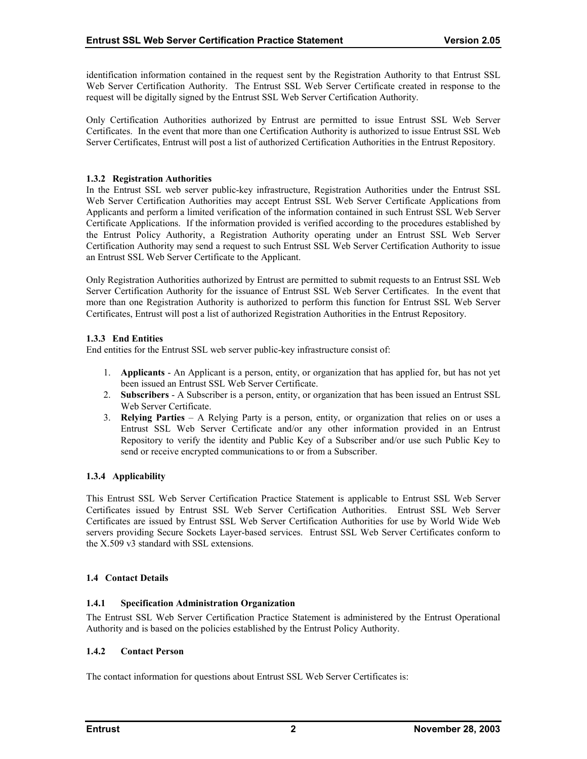<span id="page-6-0"></span>identification information contained in the request sent by the Registration Authority to that Entrust SSL Web Server Certification Authority. The Entrust SSL Web Server Certificate created in response to the request will be digitally signed by the Entrust SSL Web Server Certification Authority.

Only Certification Authorities authorized by Entrust are permitted to issue Entrust SSL Web Server Certificates. In the event that more than one Certification Authority is authorized to issue Entrust SSL Web Server Certificates, Entrust will post a list of authorized Certification Authorities in the Entrust Repository.

## **1.3.2 Registration Authorities**

In the Entrust SSL web server public-key infrastructure, Registration Authorities under the Entrust SSL Web Server Certification Authorities may accept Entrust SSL Web Server Certificate Applications from Applicants and perform a limited verification of the information contained in such Entrust SSL Web Server Certificate Applications. If the information provided is verified according to the procedures established by the Entrust Policy Authority, a Registration Authority operating under an Entrust SSL Web Server Certification Authority may send a request to such Entrust SSL Web Server Certification Authority to issue an Entrust SSL Web Server Certificate to the Applicant.

Only Registration Authorities authorized by Entrust are permitted to submit requests to an Entrust SSL Web Server Certification Authority for the issuance of Entrust SSL Web Server Certificates. In the event that more than one Registration Authority is authorized to perform this function for Entrust SSL Web Server Certificates, Entrust will post a list of authorized Registration Authorities in the Entrust Repository.

## **1.3.3 End Entities**

End entities for the Entrust SSL web server public-key infrastructure consist of:

- 1. **Applicants** An Applicant is a person, entity, or organization that has applied for, but has not yet been issued an Entrust SSL Web Server Certificate.
- 2. **Subscribers**  A Subscriber is a person, entity, or organization that has been issued an Entrust SSL Web Server Certificate.
- 3. **Relying Parties**  A Relying Party is a person, entity, or organization that relies on or uses a Entrust SSL Web Server Certificate and/or any other information provided in an Entrust Repository to verify the identity and Public Key of a Subscriber and/or use such Public Key to send or receive encrypted communications to or from a Subscriber.

## **1.3.4 Applicability**

This Entrust SSL Web Server Certification Practice Statement is applicable to Entrust SSL Web Server Certificates issued by Entrust SSL Web Server Certification Authorities. Entrust SSL Web Server Certificates are issued by Entrust SSL Web Server Certification Authorities for use by World Wide Web servers providing Secure Sockets Layer-based services. Entrust SSL Web Server Certificates conform to the X.509 v3 standard with SSL extensions.

## **1.4 Contact Details**

## **1.4.1 Specification Administration Organization**

The Entrust SSL Web Server Certification Practice Statement is administered by the Entrust Operational Authority and is based on the policies established by the Entrust Policy Authority.

## **1.4.2 Contact Person**

The contact information for questions about Entrust SSL Web Server Certificates is: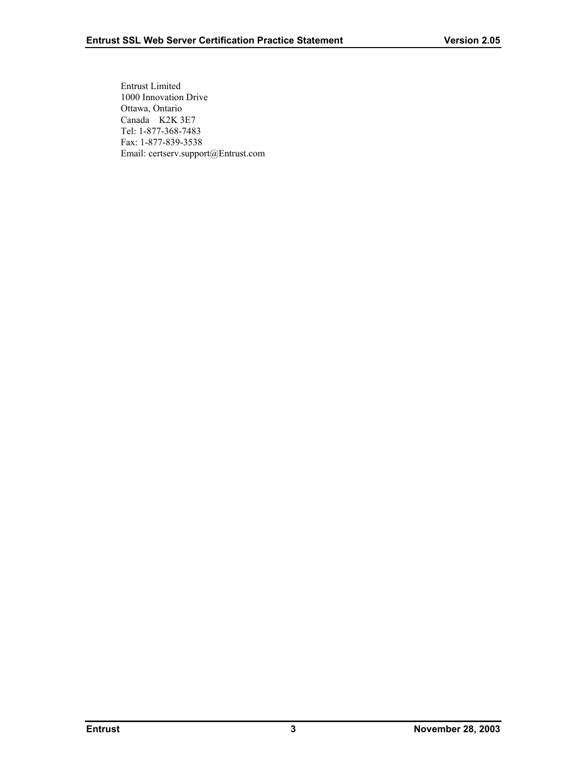Entrust Limited 1000 Innovation Drive Ottawa, Ontario Canada K2K 3E7 Tel: 1-877-368-7483 Fax: 1-877-839-3538 Email: certserv.support@Entrust.com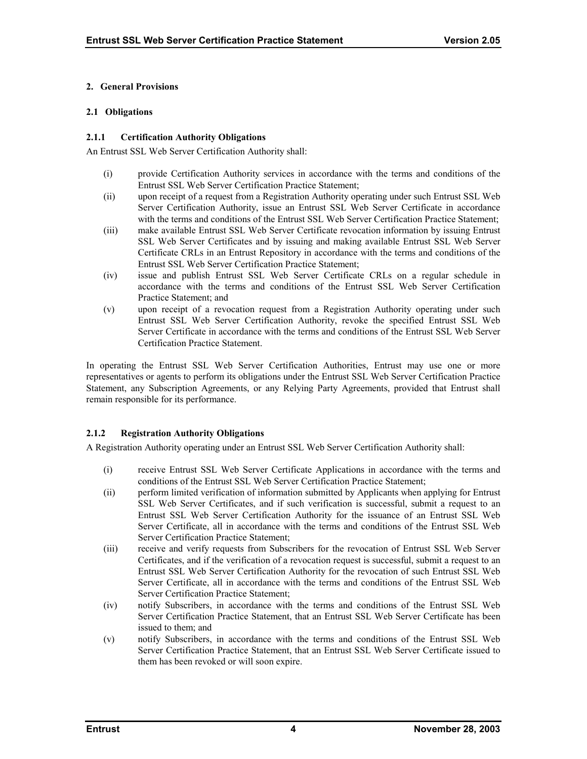#### <span id="page-8-0"></span>**2. General Provisions**

#### **2.1 Obligations**

#### **2.1.1 Certification Authority Obligations**

An Entrust SSL Web Server Certification Authority shall:

- (i) provide Certification Authority services in accordance with the terms and conditions of the Entrust SSL Web Server Certification Practice Statement;
- (ii) upon receipt of a request from a Registration Authority operating under such Entrust SSL Web Server Certification Authority, issue an Entrust SSL Web Server Certificate in accordance with the terms and conditions of the Entrust SSL Web Server Certification Practice Statement;
- (iii) make available Entrust SSL Web Server Certificate revocation information by issuing Entrust SSL Web Server Certificates and by issuing and making available Entrust SSL Web Server Certificate CRLs in an Entrust Repository in accordance with the terms and conditions of the Entrust SSL Web Server Certification Practice Statement;
- (iv) issue and publish Entrust SSL Web Server Certificate CRLs on a regular schedule in accordance with the terms and conditions of the Entrust SSL Web Server Certification Practice Statement; and
- (v) upon receipt of a revocation request from a Registration Authority operating under such Entrust SSL Web Server Certification Authority, revoke the specified Entrust SSL Web Server Certificate in accordance with the terms and conditions of the Entrust SSL Web Server Certification Practice Statement.

In operating the Entrust SSL Web Server Certification Authorities, Entrust may use one or more representatives or agents to perform its obligations under the Entrust SSL Web Server Certification Practice Statement, any Subscription Agreements, or any Relying Party Agreements, provided that Entrust shall remain responsible for its performance.

## **2.1.2 Registration Authority Obligations**

A Registration Authority operating under an Entrust SSL Web Server Certification Authority shall:

- (i) receive Entrust SSL Web Server Certificate Applications in accordance with the terms and conditions of the Entrust SSL Web Server Certification Practice Statement;
- (ii) perform limited verification of information submitted by Applicants when applying for Entrust SSL Web Server Certificates, and if such verification is successful, submit a request to an Entrust SSL Web Server Certification Authority for the issuance of an Entrust SSL Web Server Certificate, all in accordance with the terms and conditions of the Entrust SSL Web Server Certification Practice Statement;
- (iii) receive and verify requests from Subscribers for the revocation of Entrust SSL Web Server Certificates, and if the verification of a revocation request is successful, submit a request to an Entrust SSL Web Server Certification Authority for the revocation of such Entrust SSL Web Server Certificate, all in accordance with the terms and conditions of the Entrust SSL Web Server Certification Practice Statement;
- (iv) notify Subscribers, in accordance with the terms and conditions of the Entrust SSL Web Server Certification Practice Statement, that an Entrust SSL Web Server Certificate has been issued to them; and
- (v) notify Subscribers, in accordance with the terms and conditions of the Entrust SSL Web Server Certification Practice Statement, that an Entrust SSL Web Server Certificate issued to them has been revoked or will soon expire.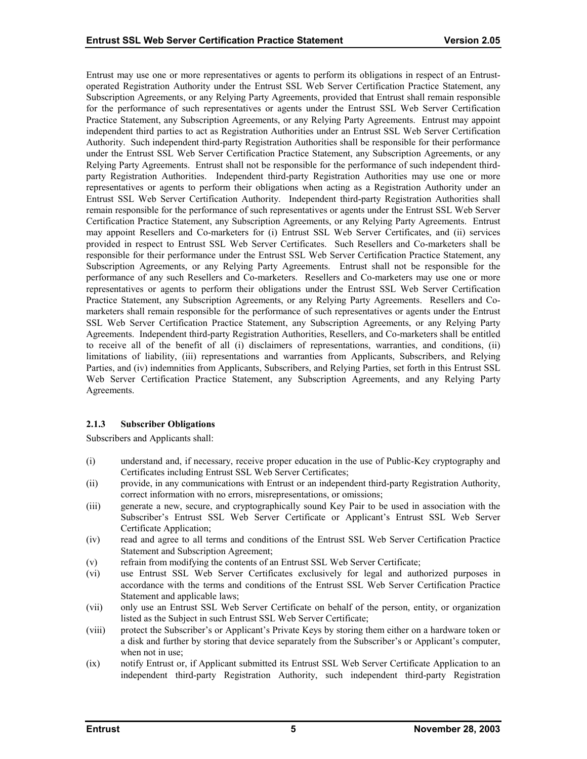<span id="page-9-0"></span>Entrust may use one or more representatives or agents to perform its obligations in respect of an Entrustoperated Registration Authority under the Entrust SSL Web Server Certification Practice Statement, any Subscription Agreements, or any Relying Party Agreements, provided that Entrust shall remain responsible for the performance of such representatives or agents under the Entrust SSL Web Server Certification Practice Statement, any Subscription Agreements, or any Relying Party Agreements. Entrust may appoint independent third parties to act as Registration Authorities under an Entrust SSL Web Server Certification Authority. Such independent third-party Registration Authorities shall be responsible for their performance under the Entrust SSL Web Server Certification Practice Statement, any Subscription Agreements, or any Relying Party Agreements. Entrust shall not be responsible for the performance of such independent thirdparty Registration Authorities. Independent third-party Registration Authorities may use one or more representatives or agents to perform their obligations when acting as a Registration Authority under an Entrust SSL Web Server Certification Authority. Independent third-party Registration Authorities shall remain responsible for the performance of such representatives or agents under the Entrust SSL Web Server Certification Practice Statement, any Subscription Agreements, or any Relying Party Agreements. Entrust may appoint Resellers and Co-marketers for (i) Entrust SSL Web Server Certificates, and (ii) services provided in respect to Entrust SSL Web Server Certificates. Such Resellers and Co-marketers shall be responsible for their performance under the Entrust SSL Web Server Certification Practice Statement, any Subscription Agreements, or any Relying Party Agreements. Entrust shall not be responsible for the performance of any such Resellers and Co-marketers. Resellers and Co-marketers may use one or more representatives or agents to perform their obligations under the Entrust SSL Web Server Certification Practice Statement, any Subscription Agreements, or any Relying Party Agreements. Resellers and Comarketers shall remain responsible for the performance of such representatives or agents under the Entrust SSL Web Server Certification Practice Statement, any Subscription Agreements, or any Relying Party Agreements. Independent third-party Registration Authorities, Resellers, and Co-marketers shall be entitled to receive all of the benefit of all (i) disclaimers of representations, warranties, and conditions, (ii) limitations of liability, (iii) representations and warranties from Applicants, Subscribers, and Relying Parties, and (iv) indemnities from Applicants, Subscribers, and Relying Parties, set forth in this Entrust SSL Web Server Certification Practice Statement, any Subscription Agreements, and any Relying Party Agreements.

## **2.1.3 Subscriber Obligations**

Subscribers and Applicants shall:

- (i) understand and, if necessary, receive proper education in the use of Public-Key cryptography and Certificates including Entrust SSL Web Server Certificates;
- (ii) provide, in any communications with Entrust or an independent third-party Registration Authority, correct information with no errors, misrepresentations, or omissions;
- (iii) generate a new, secure, and cryptographically sound Key Pair to be used in association with the Subscriber's Entrust SSL Web Server Certificate or Applicant's Entrust SSL Web Server Certificate Application;
- (iv) read and agree to all terms and conditions of the Entrust SSL Web Server Certification Practice Statement and Subscription Agreement;
- (v) refrain from modifying the contents of an Entrust SSL Web Server Certificate;
- (vi) use Entrust SSL Web Server Certificates exclusively for legal and authorized purposes in accordance with the terms and conditions of the Entrust SSL Web Server Certification Practice Statement and applicable laws;
- (vii) only use an Entrust SSL Web Server Certificate on behalf of the person, entity, or organization listed as the Subject in such Entrust SSL Web Server Certificate;
- (viii) protect the Subscriber's or Applicant's Private Keys by storing them either on a hardware token or a disk and further by storing that device separately from the Subscriber's or Applicant's computer, when not in use;
- (ix) notify Entrust or, if Applicant submitted its Entrust SSL Web Server Certificate Application to an independent third-party Registration Authority, such independent third-party Registration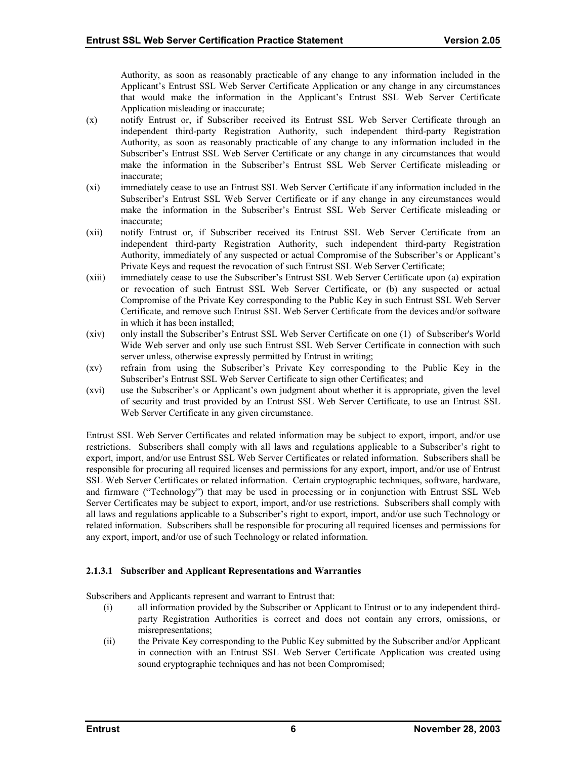Authority, as soon as reasonably practicable of any change to any information included in the Applicant's Entrust SSL Web Server Certificate Application or any change in any circumstances that would make the information in the Applicant's Entrust SSL Web Server Certificate Application misleading or inaccurate;

- (x) notify Entrust or, if Subscriber received its Entrust SSL Web Server Certificate through an independent third-party Registration Authority, such independent third-party Registration Authority, as soon as reasonably practicable of any change to any information included in the Subscriber's Entrust SSL Web Server Certificate or any change in any circumstances that would make the information in the Subscriber's Entrust SSL Web Server Certificate misleading or inaccurate;
- (xi) immediately cease to use an Entrust SSL Web Server Certificate if any information included in the Subscriber's Entrust SSL Web Server Certificate or if any change in any circumstances would make the information in the Subscriber's Entrust SSL Web Server Certificate misleading or inaccurate;
- (xii) notify Entrust or, if Subscriber received its Entrust SSL Web Server Certificate from an independent third-party Registration Authority, such independent third-party Registration Authority, immediately of any suspected or actual Compromise of the Subscriber's or Applicant's Private Keys and request the revocation of such Entrust SSL Web Server Certificate;
- (xiii) immediately cease to use the Subscriber's Entrust SSL Web Server Certificate upon (a) expiration or revocation of such Entrust SSL Web Server Certificate, or (b) any suspected or actual Compromise of the Private Key corresponding to the Public Key in such Entrust SSL Web Server Certificate, and remove such Entrust SSL Web Server Certificate from the devices and/or software in which it has been installed;
- (xiv) only install the Subscriber's Entrust SSL Web Server Certificate on one (1) of Subscriber's World Wide Web server and only use such Entrust SSL Web Server Certificate in connection with such server unless, otherwise expressly permitted by Entrust in writing;
- (xv) refrain from using the Subscriber's Private Key corresponding to the Public Key in the Subscriber's Entrust SSL Web Server Certificate to sign other Certificates; and
- (xvi) use the Subscriber's or Applicant's own judgment about whether it is appropriate, given the level of security and trust provided by an Entrust SSL Web Server Certificate, to use an Entrust SSL Web Server Certificate in any given circumstance.

Entrust SSL Web Server Certificates and related information may be subject to export, import, and/or use restrictions. Subscribers shall comply with all laws and regulations applicable to a Subscriber's right to export, import, and/or use Entrust SSL Web Server Certificates or related information. Subscribers shall be responsible for procuring all required licenses and permissions for any export, import, and/or use of Entrust SSL Web Server Certificates or related information. Certain cryptographic techniques, software, hardware, and firmware ("Technology") that may be used in processing or in conjunction with Entrust SSL Web Server Certificates may be subject to export, import, and/or use restrictions. Subscribers shall comply with all laws and regulations applicable to a Subscriber's right to export, import, and/or use such Technology or related information. Subscribers shall be responsible for procuring all required licenses and permissions for any export, import, and/or use of such Technology or related information.

## **2.1.3.1 Subscriber and Applicant Representations and Warranties**

Subscribers and Applicants represent and warrant to Entrust that:

- (i) all information provided by the Subscriber or Applicant to Entrust or to any independent thirdparty Registration Authorities is correct and does not contain any errors, omissions, or misrepresentations;
- (ii) the Private Key corresponding to the Public Key submitted by the Subscriber and/or Applicant in connection with an Entrust SSL Web Server Certificate Application was created using sound cryptographic techniques and has not been Compromised;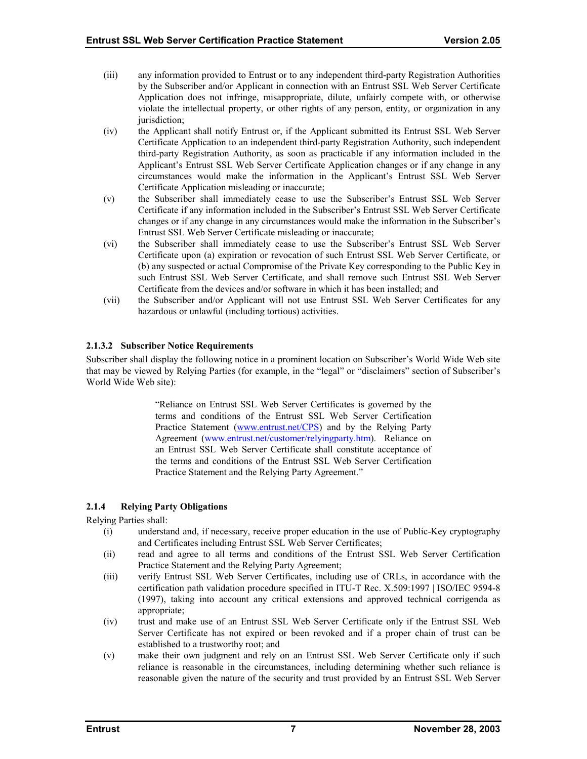- <span id="page-11-0"></span>(iii) any information provided to Entrust or to any independent third-party Registration Authorities by the Subscriber and/or Applicant in connection with an Entrust SSL Web Server Certificate Application does not infringe, misappropriate, dilute, unfairly compete with, or otherwise violate the intellectual property, or other rights of any person, entity, or organization in any jurisdiction;
- (iv) the Applicant shall notify Entrust or, if the Applicant submitted its Entrust SSL Web Server Certificate Application to an independent third-party Registration Authority, such independent third-party Registration Authority, as soon as practicable if any information included in the Applicant's Entrust SSL Web Server Certificate Application changes or if any change in any circumstances would make the information in the Applicant's Entrust SSL Web Server Certificate Application misleading or inaccurate;
- (v) the Subscriber shall immediately cease to use the Subscriber's Entrust SSL Web Server Certificate if any information included in the Subscriber's Entrust SSL Web Server Certificate changes or if any change in any circumstances would make the information in the Subscriber's Entrust SSL Web Server Certificate misleading or inaccurate;
- (vi) the Subscriber shall immediately cease to use the Subscriber's Entrust SSL Web Server Certificate upon (a) expiration or revocation of such Entrust SSL Web Server Certificate, or (b) any suspected or actual Compromise of the Private Key corresponding to the Public Key in such Entrust SSL Web Server Certificate, and shall remove such Entrust SSL Web Server Certificate from the devices and/or software in which it has been installed; and
- (vii) the Subscriber and/or Applicant will not use Entrust SSL Web Server Certificates for any hazardous or unlawful (including tortious) activities.

## **2.1.3.2 Subscriber Notice Requirements**

Subscriber shall display the following notice in a prominent location on Subscriber's World Wide Web site that may be viewed by Relying Parties (for example, in the "legal" or "disclaimers" section of Subscriber's World Wide Web site):

> "Reliance on Entrust SSL Web Server Certificates is governed by the terms and conditions of the Entrust SSL Web Server Certification Practice Statement [\(www.entrust.net/CPS\)](http://www.entrust.net/CPS) and by the Relying Party Agreement ([www.entrust.net/customer/relyingparty.htm\)](http://www.entrust.net/?). Reliance on an Entrust SSL Web Server Certificate shall constitute acceptance of the terms and conditions of the Entrust SSL Web Server Certification Practice Statement and the Relying Party Agreement."

## **2.1.4 Relying Party Obligations**

Relying Parties shall:

- (i) understand and, if necessary, receive proper education in the use of Public-Key cryptography and Certificates including Entrust SSL Web Server Certificates;
- (ii) read and agree to all terms and conditions of the Entrust SSL Web Server Certification Practice Statement and the Relying Party Agreement;
- (iii) verify Entrust SSL Web Server Certificates, including use of CRLs, in accordance with the certification path validation procedure specified in ITU-T Rec. X.509:1997 | ISO/IEC 9594-8 (1997), taking into account any critical extensions and approved technical corrigenda as appropriate;
- (iv) trust and make use of an Entrust SSL Web Server Certificate only if the Entrust SSL Web Server Certificate has not expired or been revoked and if a proper chain of trust can be established to a trustworthy root; and
- (v) make their own judgment and rely on an Entrust SSL Web Server Certificate only if such reliance is reasonable in the circumstances, including determining whether such reliance is reasonable given the nature of the security and trust provided by an Entrust SSL Web Server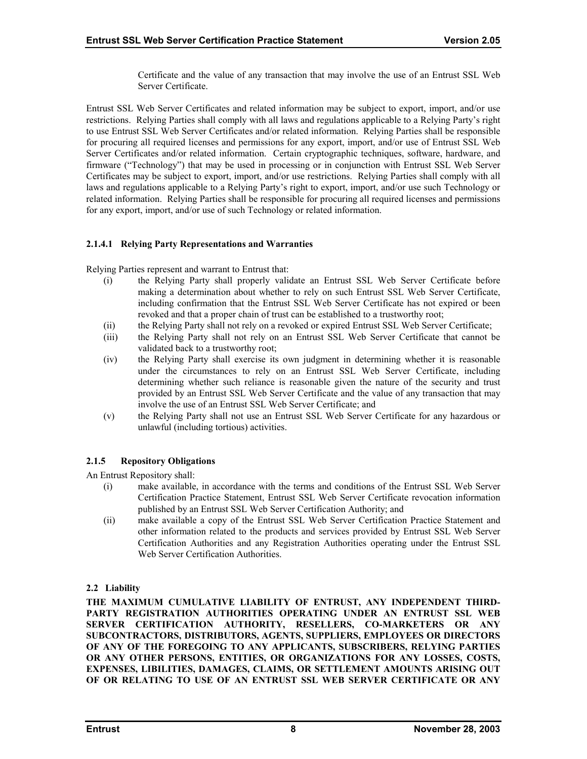Certificate and the value of any transaction that may involve the use of an Entrust SSL Web Server Certificate.

<span id="page-12-0"></span>Entrust SSL Web Server Certificates and related information may be subject to export, import, and/or use restrictions. Relying Parties shall comply with all laws and regulations applicable to a Relying Party's right to use Entrust SSL Web Server Certificates and/or related information. Relying Parties shall be responsible for procuring all required licenses and permissions for any export, import, and/or use of Entrust SSL Web Server Certificates and/or related information. Certain cryptographic techniques, software, hardware, and firmware ("Technology") that may be used in processing or in conjunction with Entrust SSL Web Server Certificates may be subject to export, import, and/or use restrictions. Relying Parties shall comply with all laws and regulations applicable to a Relying Party's right to export, import, and/or use such Technology or related information. Relying Parties shall be responsible for procuring all required licenses and permissions for any export, import, and/or use of such Technology or related information.

## **2.1.4.1 Relying Party Representations and Warranties**

Relying Parties represent and warrant to Entrust that:

- (i) the Relying Party shall properly validate an Entrust SSL Web Server Certificate before making a determination about whether to rely on such Entrust SSL Web Server Certificate, including confirmation that the Entrust SSL Web Server Certificate has not expired or been revoked and that a proper chain of trust can be established to a trustworthy root;
- (ii) the Relying Party shall not rely on a revoked or expired Entrust SSL Web Server Certificate;
- (iii) the Relying Party shall not rely on an Entrust SSL Web Server Certificate that cannot be validated back to a trustworthy root;
- (iv) the Relying Party shall exercise its own judgment in determining whether it is reasonable under the circumstances to rely on an Entrust SSL Web Server Certificate, including determining whether such reliance is reasonable given the nature of the security and trust provided by an Entrust SSL Web Server Certificate and the value of any transaction that may involve the use of an Entrust SSL Web Server Certificate; and
- (v) the Relying Party shall not use an Entrust SSL Web Server Certificate for any hazardous or unlawful (including tortious) activities.

## **2.1.5 Repository Obligations**

An Entrust Repository shall:

- (i) make available, in accordance with the terms and conditions of the Entrust SSL Web Server Certification Practice Statement, Entrust SSL Web Server Certificate revocation information published by an Entrust SSL Web Server Certification Authority; and
- (ii) make available a copy of the Entrust SSL Web Server Certification Practice Statement and other information related to the products and services provided by Entrust SSL Web Server Certification Authorities and any Registration Authorities operating under the Entrust SSL Web Server Certification Authorities.

## **2.2 Liability**

**THE MAXIMUM CUMULATIVE LIABILITY OF ENTRUST, ANY INDEPENDENT THIRD-PARTY REGISTRATION AUTHORITIES OPERATING UNDER AN ENTRUST SSL WEB SERVER CERTIFICATION AUTHORITY, RESELLERS, CO-MARKETERS OR ANY SUBCONTRACTORS, DISTRIBUTORS, AGENTS, SUPPLIERS, EMPLOYEES OR DIRECTORS OF ANY OF THE FOREGOING TO ANY APPLICANTS, SUBSCRIBERS, RELYING PARTIES OR ANY OTHER PERSONS, ENTITIES, OR ORGANIZATIONS FOR ANY LOSSES, COSTS, EXPENSES, LIBILITIES, DAMAGES, CLAIMS, OR SETTLEMENT AMOUNTS ARISING OUT OF OR RELATING TO USE OF AN ENTRUST SSL WEB SERVER CERTIFICATE OR ANY**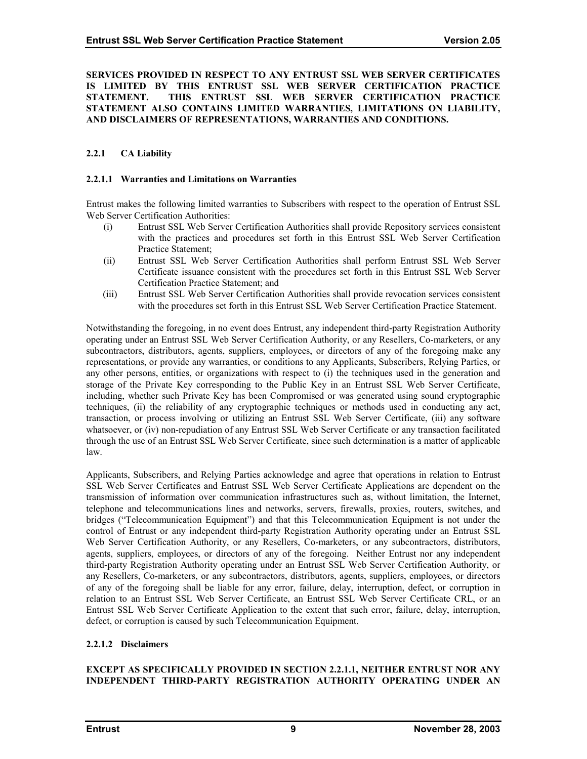#### <span id="page-13-0"></span>**SERVICES PROVIDED IN RESPECT TO ANY ENTRUST SSL WEB SERVER CERTIFICATES IS LIMITED BY THIS ENTRUST SSL WEB SERVER CERTIFICATION PRACTICE STATEMENT. THIS ENTRUST SSL WEB SERVER CERTIFICATION PRACTICE STATEMENT ALSO CONTAINS LIMITED WARRANTIES, LIMITATIONS ON LIABILITY, AND DISCLAIMERS OF REPRESENTATIONS, WARRANTIES AND CONDITIONS.**

## **2.2.1 CA Liability**

#### **2.2.1.1 Warranties and Limitations on Warranties**

Entrust makes the following limited warranties to Subscribers with respect to the operation of Entrust SSL Web Server Certification Authorities:

- (i) Entrust SSL Web Server Certification Authorities shall provide Repository services consistent with the practices and procedures set forth in this Entrust SSL Web Server Certification Practice Statement;
- (ii) Entrust SSL Web Server Certification Authorities shall perform Entrust SSL Web Server Certificate issuance consistent with the procedures set forth in this Entrust SSL Web Server Certification Practice Statement; and
- (iii) Entrust SSL Web Server Certification Authorities shall provide revocation services consistent with the procedures set forth in this Entrust SSL Web Server Certification Practice Statement.

Notwithstanding the foregoing, in no event does Entrust, any independent third-party Registration Authority operating under an Entrust SSL Web Server Certification Authority, or any Resellers, Co-marketers, or any subcontractors, distributors, agents, suppliers, employees, or directors of any of the foregoing make any representations, or provide any warranties, or conditions to any Applicants, Subscribers, Relying Parties, or any other persons, entities, or organizations with respect to (i) the techniques used in the generation and storage of the Private Key corresponding to the Public Key in an Entrust SSL Web Server Certificate, including, whether such Private Key has been Compromised or was generated using sound cryptographic techniques, (ii) the reliability of any cryptographic techniques or methods used in conducting any act, transaction, or process involving or utilizing an Entrust SSL Web Server Certificate, (iii) any software whatsoever, or (iv) non-repudiation of any Entrust SSL Web Server Certificate or any transaction facilitated through the use of an Entrust SSL Web Server Certificate, since such determination is a matter of applicable law.

Applicants, Subscribers, and Relying Parties acknowledge and agree that operations in relation to Entrust SSL Web Server Certificates and Entrust SSL Web Server Certificate Applications are dependent on the transmission of information over communication infrastructures such as, without limitation, the Internet, telephone and telecommunications lines and networks, servers, firewalls, proxies, routers, switches, and bridges ("Telecommunication Equipment") and that this Telecommunication Equipment is not under the control of Entrust or any independent third-party Registration Authority operating under an Entrust SSL Web Server Certification Authority, or any Resellers, Co-marketers, or any subcontractors, distributors, agents, suppliers, employees, or directors of any of the foregoing. Neither Entrust nor any independent third-party Registration Authority operating under an Entrust SSL Web Server Certification Authority, or any Resellers, Co-marketers, or any subcontractors, distributors, agents, suppliers, employees, or directors of any of the foregoing shall be liable for any error, failure, delay, interruption, defect, or corruption in relation to an Entrust SSL Web Server Certificate, an Entrust SSL Web Server Certificate CRL, or an Entrust SSL Web Server Certificate Application to the extent that such error, failure, delay, interruption, defect, or corruption is caused by such Telecommunication Equipment.

#### **2.2.1.2 Disclaimers**

#### **EXCEPT AS SPECIFICALLY PROVIDED IN SECTION 2.2.1.1, NEITHER ENTRUST NOR ANY INDEPENDENT THIRD-PARTY REGISTRATION AUTHORITY OPERATING UNDER AN**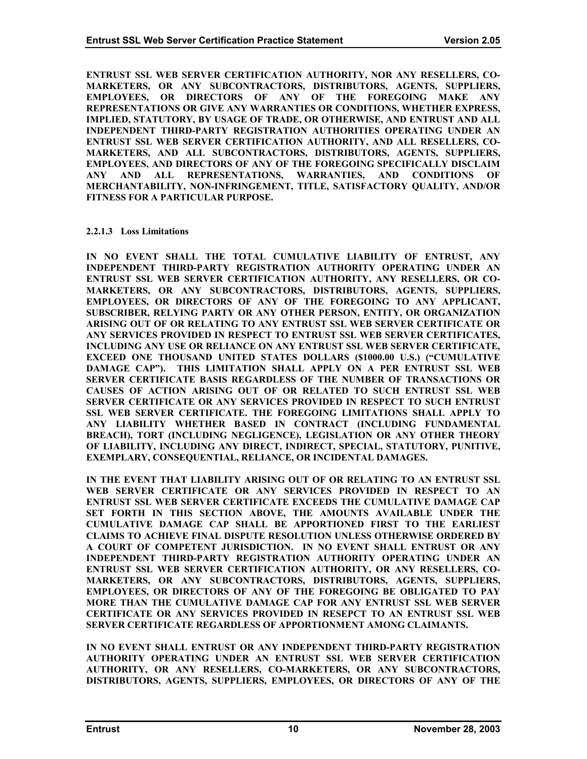<span id="page-14-0"></span>**ENTRUST SSL WEB SERVER CERTIFICATION AUTHORITY, NOR ANY RESELLERS, CO-MARKETERS, OR ANY SUBCONTRACTORS, DISTRIBUTORS, AGENTS, SUPPLIERS, EMPLOYEES, OR DIRECTORS OF ANY OF THE FOREGOING MAKE ANY REPRESENTATIONS OR GIVE ANY WARRANTIES OR CONDITIONS, WHETHER EXPRESS, IMPLIED, STATUTORY, BY USAGE OF TRADE, OR OTHERWISE, AND ENTRUST AND ALL INDEPENDENT THIRD-PARTY REGISTRATION AUTHORITIES OPERATING UNDER AN ENTRUST SSL WEB SERVER CERTIFICATION AUTHORITY, AND ALL RESELLERS, CO-MARKETERS, AND ALL SUBCONTRACTORS, DISTRIBUTORS, AGENTS, SUPPLIERS, EMPLOYEES, AND DIRECTORS OF ANY OF THE FOREGOING SPECIFICALLY DISCLAIM ANY AND ALL REPRESENTATIONS, WARRANTIES, AND CONDITIONS OF MERCHANTABILITY, NON-INFRINGEMENT, TITLE, SATISFACTORY QUALITY, AND/OR FITNESS FOR A PARTICULAR PURPOSE.** 

#### **2.2.1.3 Loss Limitations**

**IN NO EVENT SHALL THE TOTAL CUMULATIVE LIABILITY OF ENTRUST, ANY INDEPENDENT THIRD-PARTY REGISTRATION AUTHORITY OPERATING UNDER AN ENTRUST SSL WEB SERVER CERTIFICATION AUTHORITY, ANY RESELLERS, OR CO-MARKETERS, OR ANY SUBCONTRACTORS, DISTRIBUTORS, AGENTS, SUPPLIERS, EMPLOYEES, OR DIRECTORS OF ANY OF THE FOREGOING TO ANY APPLICANT, SUBSCRIBER, RELYING PARTY OR ANY OTHER PERSON, ENTITY, OR ORGANIZATION ARISING OUT OF OR RELATING TO ANY ENTRUST SSL WEB SERVER CERTIFICATE OR ANY SERVICES PROVIDED IN RESPECT TO ENTRUST SSL WEB SERVER CERTIFICATES, INCLUDING ANY USE OR RELIANCE ON ANY ENTRUST SSL WEB SERVER CERTIFICATE, EXCEED ONE THOUSAND UNITED STATES DOLLARS (\$1000.00 U.S.) ("CUMULATIVE DAMAGE CAP"). THIS LIMITATION SHALL APPLY ON A PER ENTRUST SSL WEB SERVER CERTIFICATE BASIS REGARDLESS OF THE NUMBER OF TRANSACTIONS OR CAUSES OF ACTION ARISING OUT OF OR RELATED TO SUCH ENTRUST SSL WEB SERVER CERTIFICATE OR ANY SERVICES PROVIDED IN RESPECT TO SUCH ENTRUST SSL WEB SERVER CERTIFICATE. THE FOREGOING LIMITATIONS SHALL APPLY TO ANY LIABILITY WHETHER BASED IN CONTRACT (INCLUDING FUNDAMENTAL BREACH), TORT (INCLUDING NEGLIGENCE), LEGISLATION OR ANY OTHER THEORY OF LIABILITY, INCLUDING ANY DIRECT, INDIRECT, SPECIAL, STATUTORY, PUNITIVE, EXEMPLARY, CONSEQUENTIAL, RELIANCE, OR INCIDENTAL DAMAGES.** 

**IN THE EVENT THAT LIABILITY ARISING OUT OF OR RELATING TO AN ENTRUST SSL WEB SERVER CERTIFICATE OR ANY SERVICES PROVIDED IN RESPECT TO AN ENTRUST SSL WEB SERVER CERTIFICATE EXCEEDS THE CUMULATIVE DAMAGE CAP SET FORTH IN THIS SECTION ABOVE, THE AMOUNTS AVAILABLE UNDER THE CUMULATIVE DAMAGE CAP SHALL BE APPORTIONED FIRST TO THE EARLIEST CLAIMS TO ACHIEVE FINAL DISPUTE RESOLUTION UNLESS OTHERWISE ORDERED BY A COURT OF COMPETENT JURISDICTION. IN NO EVENT SHALL ENTRUST OR ANY INDEPENDENT THIRD-PARTY REGISTRATION AUTHORITY OPERATING UNDER AN ENTRUST SSL WEB SERVER CERTIFICATION AUTHORITY, OR ANY RESELLERS, CO-MARKETERS, OR ANY SUBCONTRACTORS, DISTRIBUTORS, AGENTS, SUPPLIERS, EMPLOYEES, OR DIRECTORS OF ANY OF THE FOREGOING BE OBLIGATED TO PAY MORE THAN THE CUMULATIVE DAMAGE CAP FOR ANY ENTRUST SSL WEB SERVER CERTIFICATE OR ANY SERVICES PROVIDED IN RESEPCT TO AN ENTRUST SSL WEB SERVER CERTIFICATE REGARDLESS OF APPORTIONMENT AMONG CLAIMANTS.** 

**IN NO EVENT SHALL ENTRUST OR ANY INDEPENDENT THIRD-PARTY REGISTRATION AUTHORITY OPERATING UNDER AN ENTRUST SSL WEB SERVER CERTIFICATION AUTHORITY, OR ANY RESELLERS, CO-MARKETERS, OR ANY SUBCONTRACTORS, DISTRIBUTORS, AGENTS, SUPPLIERS, EMPLOYEES, OR DIRECTORS OF ANY OF THE**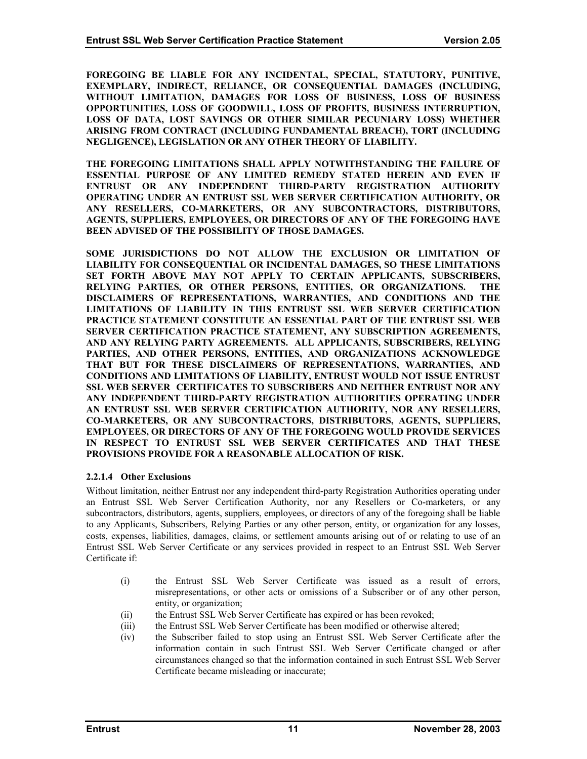<span id="page-15-0"></span>**FOREGOING BE LIABLE FOR ANY INCIDENTAL, SPECIAL, STATUTORY, PUNITIVE, EXEMPLARY, INDIRECT, RELIANCE, OR CONSEQUENTIAL DAMAGES (INCLUDING, WITHOUT LIMITATION, DAMAGES FOR LOSS OF BUSINESS, LOSS OF BUSINESS OPPORTUNITIES, LOSS OF GOODWILL, LOSS OF PROFITS, BUSINESS INTERRUPTION, LOSS OF DATA, LOST SAVINGS OR OTHER SIMILAR PECUNIARY LOSS) WHETHER ARISING FROM CONTRACT (INCLUDING FUNDAMENTAL BREACH), TORT (INCLUDING NEGLIGENCE), LEGISLATION OR ANY OTHER THEORY OF LIABILITY.** 

**THE FOREGOING LIMITATIONS SHALL APPLY NOTWITHSTANDING THE FAILURE OF ESSENTIAL PURPOSE OF ANY LIMITED REMEDY STATED HEREIN AND EVEN IF ENTRUST OR ANY INDEPENDENT THIRD-PARTY REGISTRATION AUTHORITY OPERATING UNDER AN ENTRUST SSL WEB SERVER CERTIFICATION AUTHORITY, OR ANY RESELLERS, CO-MARKETERS, OR ANY SUBCONTRACTORS, DISTRIBUTORS, AGENTS, SUPPLIERS, EMPLOYEES, OR DIRECTORS OF ANY OF THE FOREGOING HAVE BEEN ADVISED OF THE POSSIBILITY OF THOSE DAMAGES.** 

**SOME JURISDICTIONS DO NOT ALLOW THE EXCLUSION OR LIMITATION OF LIABILITY FOR CONSEQUENTIAL OR INCIDENTAL DAMAGES, SO THESE LIMITATIONS SET FORTH ABOVE MAY NOT APPLY TO CERTAIN APPLICANTS, SUBSCRIBERS, RELYING PARTIES, OR OTHER PERSONS, ENTITIES, OR ORGANIZATIONS. THE DISCLAIMERS OF REPRESENTATIONS, WARRANTIES, AND CONDITIONS AND THE LIMITATIONS OF LIABILITY IN THIS ENTRUST SSL WEB SERVER CERTIFICATION PRACTICE STATEMENT CONSTITUTE AN ESSENTIAL PART OF THE ENTRUST SSL WEB SERVER CERTIFICATION PRACTICE STATEMENT, ANY SUBSCRIPTION AGREEMENTS, AND ANY RELYING PARTY AGREEMENTS. ALL APPLICANTS, SUBSCRIBERS, RELYING PARTIES, AND OTHER PERSONS, ENTITIES, AND ORGANIZATIONS ACKNOWLEDGE THAT BUT FOR THESE DISCLAIMERS OF REPRESENTATIONS, WARRANTIES, AND CONDITIONS AND LIMITATIONS OF LIABILITY, ENTRUST WOULD NOT ISSUE ENTRUST SSL WEB SERVER CERTIFICATES TO SUBSCRIBERS AND NEITHER ENTRUST NOR ANY ANY INDEPENDENT THIRD-PARTY REGISTRATION AUTHORITIES OPERATING UNDER AN ENTRUST SSL WEB SERVER CERTIFICATION AUTHORITY, NOR ANY RESELLERS, CO-MARKETERS, OR ANY SUBCONTRACTORS, DISTRIBUTORS, AGENTS, SUPPLIERS, EMPLOYEES, OR DIRECTORS OF ANY OF THE FOREGOING WOULD PROVIDE SERVICES IN RESPECT TO ENTRUST SSL WEB SERVER CERTIFICATES AND THAT THESE PROVISIONS PROVIDE FOR A REASONABLE ALLOCATION OF RISK.** 

## **2.2.1.4 Other Exclusions**

Without limitation, neither Entrust nor any independent third-party Registration Authorities operating under an Entrust SSL Web Server Certification Authority, nor any Resellers or Co-marketers, or any subcontractors, distributors, agents, suppliers, employees, or directors of any of the foregoing shall be liable to any Applicants, Subscribers, Relying Parties or any other person, entity, or organization for any losses, costs, expenses, liabilities, damages, claims, or settlement amounts arising out of or relating to use of an Entrust SSL Web Server Certificate or any services provided in respect to an Entrust SSL Web Server Certificate if:

- (i) the Entrust SSL Web Server Certificate was issued as a result of errors, misrepresentations, or other acts or omissions of a Subscriber or of any other person, entity, or organization;
- (ii) the Entrust SSL Web Server Certificate has expired or has been revoked;
- (iii) the Entrust SSL Web Server Certificate has been modified or otherwise altered;
- (iv) the Subscriber failed to stop using an Entrust SSL Web Server Certificate after the information contain in such Entrust SSL Web Server Certificate changed or after circumstances changed so that the information contained in such Entrust SSL Web Server Certificate became misleading or inaccurate;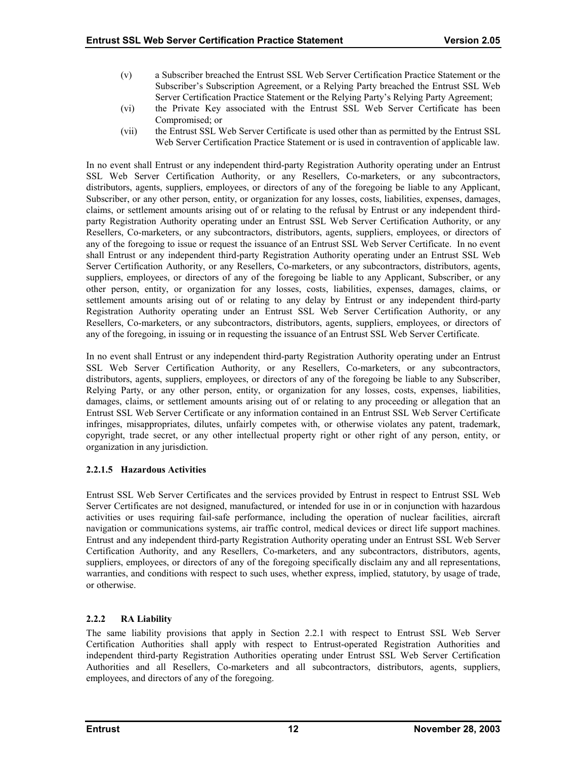- <span id="page-16-0"></span>(v) a Subscriber breached the Entrust SSL Web Server Certification Practice Statement or the Subscriber's Subscription Agreement, or a Relying Party breached the Entrust SSL Web Server Certification Practice Statement or the Relying Party's Relying Party Agreement;
- (vi) the Private Key associated with the Entrust SSL Web Server Certificate has been Compromised; or
- (vii) the Entrust SSL Web Server Certificate is used other than as permitted by the Entrust SSL Web Server Certification Practice Statement or is used in contravention of applicable law.

In no event shall Entrust or any independent third-party Registration Authority operating under an Entrust SSL Web Server Certification Authority, or any Resellers, Co-marketers, or any subcontractors, distributors, agents, suppliers, employees, or directors of any of the foregoing be liable to any Applicant, Subscriber, or any other person, entity, or organization for any losses, costs, liabilities, expenses, damages, claims, or settlement amounts arising out of or relating to the refusal by Entrust or any independent thirdparty Registration Authority operating under an Entrust SSL Web Server Certification Authority, or any Resellers, Co-marketers, or any subcontractors, distributors, agents, suppliers, employees, or directors of any of the foregoing to issue or request the issuance of an Entrust SSL Web Server Certificate. In no event shall Entrust or any independent third-party Registration Authority operating under an Entrust SSL Web Server Certification Authority, or any Resellers, Co-marketers, or any subcontractors, distributors, agents, suppliers, employees, or directors of any of the foregoing be liable to any Applicant, Subscriber, or any other person, entity, or organization for any losses, costs, liabilities, expenses, damages, claims, or settlement amounts arising out of or relating to any delay by Entrust or any independent third-party Registration Authority operating under an Entrust SSL Web Server Certification Authority, or any Resellers, Co-marketers, or any subcontractors, distributors, agents, suppliers, employees, or directors of any of the foregoing, in issuing or in requesting the issuance of an Entrust SSL Web Server Certificate.

In no event shall Entrust or any independent third-party Registration Authority operating under an Entrust SSL Web Server Certification Authority, or any Resellers, Co-marketers, or any subcontractors, distributors, agents, suppliers, employees, or directors of any of the foregoing be liable to any Subscriber, Relying Party, or any other person, entity, or organization for any losses, costs, expenses, liabilities, damages, claims, or settlement amounts arising out of or relating to any proceeding or allegation that an Entrust SSL Web Server Certificate or any information contained in an Entrust SSL Web Server Certificate infringes, misappropriates, dilutes, unfairly competes with, or otherwise violates any patent, trademark, copyright, trade secret, or any other intellectual property right or other right of any person, entity, or organization in any jurisdiction.

## **2.2.1.5 Hazardous Activities**

Entrust SSL Web Server Certificates and the services provided by Entrust in respect to Entrust SSL Web Server Certificates are not designed, manufactured, or intended for use in or in conjunction with hazardous activities or uses requiring fail-safe performance, including the operation of nuclear facilities, aircraft navigation or communications systems, air traffic control, medical devices or direct life support machines. Entrust and any independent third-party Registration Authority operating under an Entrust SSL Web Server Certification Authority, and any Resellers, Co-marketers, and any subcontractors, distributors, agents, suppliers, employees, or directors of any of the foregoing specifically disclaim any and all representations, warranties, and conditions with respect to such uses, whether express, implied, statutory, by usage of trade, or otherwise.

## **2.2.2 RA Liability**

The same liability provisions that apply in Section 2.2.1 with respect to Entrust SSL Web Server Certification Authorities shall apply with respect to Entrust-operated Registration Authorities and independent third-party Registration Authorities operating under Entrust SSL Web Server Certification Authorities and all Resellers, Co-marketers and all subcontractors, distributors, agents, suppliers, employees, and directors of any of the foregoing.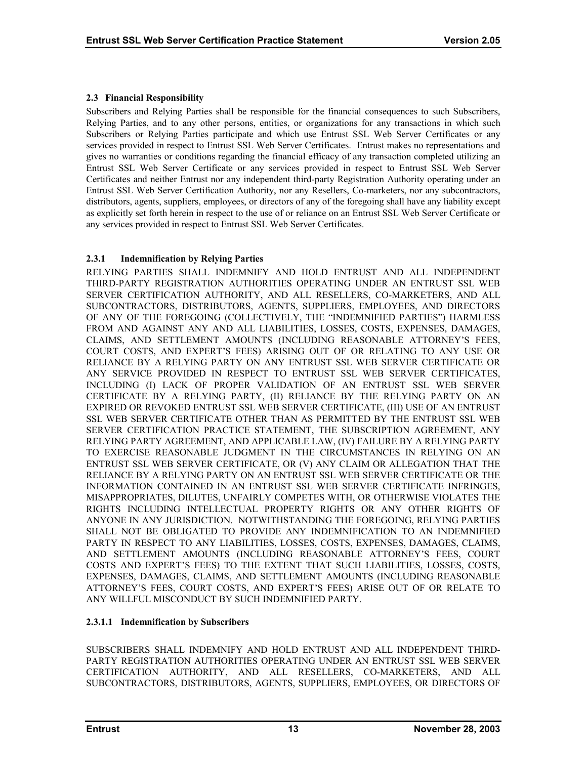## <span id="page-17-0"></span>**2.3 Financial Responsibility**

Subscribers and Relying Parties shall be responsible for the financial consequences to such Subscribers, Relying Parties, and to any other persons, entities, or organizations for any transactions in which such Subscribers or Relying Parties participate and which use Entrust SSL Web Server Certificates or any services provided in respect to Entrust SSL Web Server Certificates. Entrust makes no representations and gives no warranties or conditions regarding the financial efficacy of any transaction completed utilizing an Entrust SSL Web Server Certificate or any services provided in respect to Entrust SSL Web Server Certificates and neither Entrust nor any independent third-party Registration Authority operating under an Entrust SSL Web Server Certification Authority, nor any Resellers, Co-marketers, nor any subcontractors, distributors, agents, suppliers, employees, or directors of any of the foregoing shall have any liability except as explicitly set forth herein in respect to the use of or reliance on an Entrust SSL Web Server Certificate or any services provided in respect to Entrust SSL Web Server Certificates.

## **2.3.1 Indemnification by Relying Parties**

RELYING PARTIES SHALL INDEMNIFY AND HOLD ENTRUST AND ALL INDEPENDENT THIRD-PARTY REGISTRATION AUTHORITIES OPERATING UNDER AN ENTRUST SSL WEB SERVER CERTIFICATION AUTHORITY, AND ALL RESELLERS, CO-MARKETERS, AND ALL SUBCONTRACTORS, DISTRIBUTORS, AGENTS, SUPPLIERS, EMPLOYEES, AND DIRECTORS OF ANY OF THE FOREGOING (COLLECTIVELY, THE "INDEMNIFIED PARTIES") HARMLESS FROM AND AGAINST ANY AND ALL LIABILITIES, LOSSES, COSTS, EXPENSES, DAMAGES, CLAIMS, AND SETTLEMENT AMOUNTS (INCLUDING REASONABLE ATTORNEY'S FEES, COURT COSTS, AND EXPERT'S FEES) ARISING OUT OF OR RELATING TO ANY USE OR RELIANCE BY A RELYING PARTY ON ANY ENTRUST SSL WEB SERVER CERTIFICATE OR ANY SERVICE PROVIDED IN RESPECT TO ENTRUST SSL WEB SERVER CERTIFICATES, INCLUDING (I) LACK OF PROPER VALIDATION OF AN ENTRUST SSL WEB SERVER CERTIFICATE BY A RELYING PARTY, (II) RELIANCE BY THE RELYING PARTY ON AN EXPIRED OR REVOKED ENTRUST SSL WEB SERVER CERTIFICATE, (III) USE OF AN ENTRUST SSL WEB SERVER CERTIFICATE OTHER THAN AS PERMITTED BY THE ENTRUST SSL WEB SERVER CERTIFICATION PRACTICE STATEMENT, THE SUBSCRIPTION AGREEMENT, ANY RELYING PARTY AGREEMENT, AND APPLICABLE LAW, (IV) FAILURE BY A RELYING PARTY TO EXERCISE REASONABLE JUDGMENT IN THE CIRCUMSTANCES IN RELYING ON AN ENTRUST SSL WEB SERVER CERTIFICATE, OR (V) ANY CLAIM OR ALLEGATION THAT THE RELIANCE BY A RELYING PARTY ON AN ENTRUST SSL WEB SERVER CERTIFICATE OR THE INFORMATION CONTAINED IN AN ENTRUST SSL WEB SERVER CERTIFICATE INFRINGES, MISAPPROPRIATES, DILUTES, UNFAIRLY COMPETES WITH, OR OTHERWISE VIOLATES THE RIGHTS INCLUDING INTELLECTUAL PROPERTY RIGHTS OR ANY OTHER RIGHTS OF ANYONE IN ANY JURISDICTION. NOTWITHSTANDING THE FOREGOING, RELYING PARTIES SHALL NOT BE OBLIGATED TO PROVIDE ANY INDEMNIFICATION TO AN INDEMNIFIED PARTY IN RESPECT TO ANY LIABILITIES, LOSSES, COSTS, EXPENSES, DAMAGES, CLAIMS, AND SETTLEMENT AMOUNTS (INCLUDING REASONABLE ATTORNEY'S FEES, COURT COSTS AND EXPERT'S FEES) TO THE EXTENT THAT SUCH LIABILITIES, LOSSES, COSTS, EXPENSES, DAMAGES, CLAIMS, AND SETTLEMENT AMOUNTS (INCLUDING REASONABLE ATTORNEY'S FEES, COURT COSTS, AND EXPERT'S FEES) ARISE OUT OF OR RELATE TO ANY WILLFUL MISCONDUCT BY SUCH INDEMNIFIED PARTY.

## **2.3.1.1 Indemnification by Subscribers**

SUBSCRIBERS SHALL INDEMNIFY AND HOLD ENTRUST AND ALL INDEPENDENT THIRD-PARTY REGISTRATION AUTHORITIES OPERATING UNDER AN ENTRUST SSL WEB SERVER CERTIFICATION AUTHORITY, AND ALL RESELLERS, CO-MARKETERS, AND ALL SUBCONTRACTORS, DISTRIBUTORS, AGENTS, SUPPLIERS, EMPLOYEES, OR DIRECTORS OF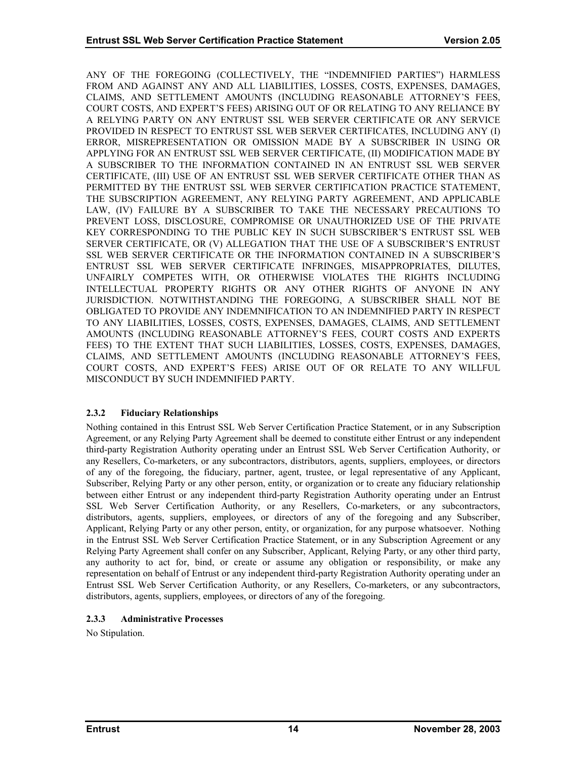<span id="page-18-0"></span>ANY OF THE FOREGOING (COLLECTIVELY, THE "INDEMNIFIED PARTIES") HARMLESS FROM AND AGAINST ANY AND ALL LIABILITIES, LOSSES, COSTS, EXPENSES, DAMAGES, CLAIMS, AND SETTLEMENT AMOUNTS (INCLUDING REASONABLE ATTORNEY'S FEES, COURT COSTS, AND EXPERT'S FEES) ARISING OUT OF OR RELATING TO ANY RELIANCE BY A RELYING PARTY ON ANY ENTRUST SSL WEB SERVER CERTIFICATE OR ANY SERVICE PROVIDED IN RESPECT TO ENTRUST SSL WEB SERVER CERTIFICATES, INCLUDING ANY (I) ERROR, MISREPRESENTATION OR OMISSION MADE BY A SUBSCRIBER IN USING OR APPLYING FOR AN ENTRUST SSL WEB SERVER CERTIFICATE, (II) MODIFICATION MADE BY A SUBSCRIBER TO THE INFORMATION CONTAINED IN AN ENTRUST SSL WEB SERVER CERTIFICATE, (III) USE OF AN ENTRUST SSL WEB SERVER CERTIFICATE OTHER THAN AS PERMITTED BY THE ENTRUST SSL WEB SERVER CERTIFICATION PRACTICE STATEMENT, THE SUBSCRIPTION AGREEMENT, ANY RELYING PARTY AGREEMENT, AND APPLICABLE LAW, (IV) FAILURE BY A SUBSCRIBER TO TAKE THE NECESSARY PRECAUTIONS TO PREVENT LOSS, DISCLOSURE, COMPROMISE OR UNAUTHORIZED USE OF THE PRIVATE KEY CORRESPONDING TO THE PUBLIC KEY IN SUCH SUBSCRIBER'S ENTRUST SSL WEB SERVER CERTIFICATE, OR (V) ALLEGATION THAT THE USE OF A SUBSCRIBER'S ENTRUST SSL WEB SERVER CERTIFICATE OR THE INFORMATION CONTAINED IN A SUBSCRIBER'S ENTRUST SSL WEB SERVER CERTIFICATE INFRINGES, MISAPPROPRIATES, DILUTES, UNFAIRLY COMPETES WITH, OR OTHERWISE VIOLATES THE RIGHTS INCLUDING INTELLECTUAL PROPERTY RIGHTS OR ANY OTHER RIGHTS OF ANYONE IN ANY JURISDICTION. NOTWITHSTANDING THE FOREGOING, A SUBSCRIBER SHALL NOT BE OBLIGATED TO PROVIDE ANY INDEMNIFICATION TO AN INDEMNIFIED PARTY IN RESPECT TO ANY LIABILITIES, LOSSES, COSTS, EXPENSES, DAMAGES, CLAIMS, AND SETTLEMENT AMOUNTS (INCLUDING REASONABLE ATTORNEY'S FEES, COURT COSTS AND EXPERTS FEES) TO THE EXTENT THAT SUCH LIABILITIES, LOSSES, COSTS, EXPENSES, DAMAGES, CLAIMS, AND SETTLEMENT AMOUNTS (INCLUDING REASONABLE ATTORNEY'S FEES, COURT COSTS, AND EXPERT'S FEES) ARISE OUT OF OR RELATE TO ANY WILLFUL MISCONDUCT BY SUCH INDEMNIFIED PARTY.

## **2.3.2 Fiduciary Relationships**

Nothing contained in this Entrust SSL Web Server Certification Practice Statement, or in any Subscription Agreement, or any Relying Party Agreement shall be deemed to constitute either Entrust or any independent third-party Registration Authority operating under an Entrust SSL Web Server Certification Authority, or any Resellers, Co-marketers, or any subcontractors, distributors, agents, suppliers, employees, or directors of any of the foregoing, the fiduciary, partner, agent, trustee, or legal representative of any Applicant, Subscriber, Relying Party or any other person, entity, or organization or to create any fiduciary relationship between either Entrust or any independent third-party Registration Authority operating under an Entrust SSL Web Server Certification Authority, or any Resellers, Co-marketers, or any subcontractors, distributors, agents, suppliers, employees, or directors of any of the foregoing and any Subscriber, Applicant, Relying Party or any other person, entity, or organization, for any purpose whatsoever. Nothing in the Entrust SSL Web Server Certification Practice Statement, or in any Subscription Agreement or any Relying Party Agreement shall confer on any Subscriber, Applicant, Relying Party, or any other third party, any authority to act for, bind, or create or assume any obligation or responsibility, or make any representation on behalf of Entrust or any independent third-party Registration Authority operating under an Entrust SSL Web Server Certification Authority, or any Resellers, Co-marketers, or any subcontractors, distributors, agents, suppliers, employees, or directors of any of the foregoing.

## **2.3.3 Administrative Processes**

No Stipulation.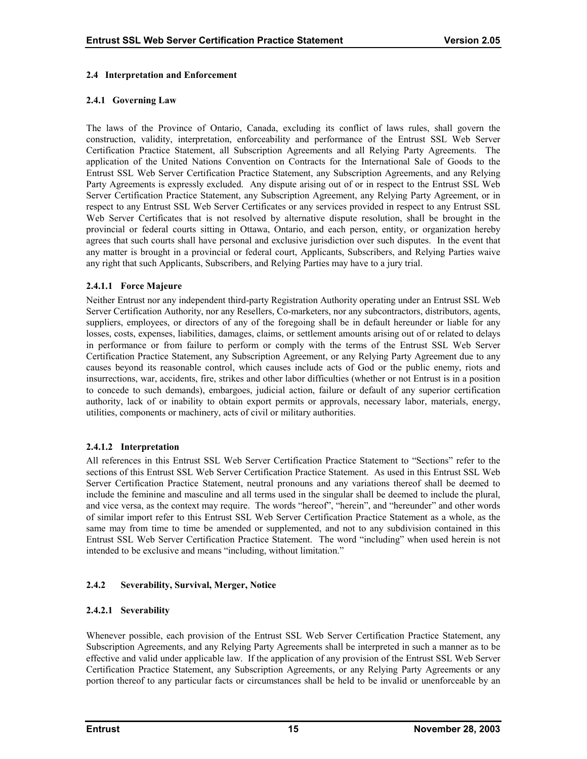#### <span id="page-19-0"></span>**2.4 Interpretation and Enforcement**

#### **2.4.1 Governing Law**

The laws of the Province of Ontario, Canada, excluding its conflict of laws rules, shall govern the construction, validity, interpretation, enforceability and performance of the Entrust SSL Web Server Certification Practice Statement, all Subscription Agreements and all Relying Party Agreements. The application of the United Nations Convention on Contracts for the International Sale of Goods to the Entrust SSL Web Server Certification Practice Statement, any Subscription Agreements, and any Relying Party Agreements is expressly excluded. Any dispute arising out of or in respect to the Entrust SSL Web Server Certification Practice Statement, any Subscription Agreement, any Relying Party Agreement, or in respect to any Entrust SSL Web Server Certificates or any services provided in respect to any Entrust SSL Web Server Certificates that is not resolved by alternative dispute resolution, shall be brought in the provincial or federal courts sitting in Ottawa, Ontario, and each person, entity, or organization hereby agrees that such courts shall have personal and exclusive jurisdiction over such disputes. In the event that any matter is brought in a provincial or federal court, Applicants, Subscribers, and Relying Parties waive any right that such Applicants, Subscribers, and Relying Parties may have to a jury trial.

#### **2.4.1.1 Force Majeure**

Neither Entrust nor any independent third-party Registration Authority operating under an Entrust SSL Web Server Certification Authority, nor any Resellers, Co-marketers, nor any subcontractors, distributors, agents, suppliers, employees, or directors of any of the foregoing shall be in default hereunder or liable for any losses, costs, expenses, liabilities, damages, claims, or settlement amounts arising out of or related to delays in performance or from failure to perform or comply with the terms of the Entrust SSL Web Server Certification Practice Statement, any Subscription Agreement, or any Relying Party Agreement due to any causes beyond its reasonable control, which causes include acts of God or the public enemy, riots and insurrections, war, accidents, fire, strikes and other labor difficulties (whether or not Entrust is in a position to concede to such demands), embargoes, judicial action, failure or default of any superior certification authority, lack of or inability to obtain export permits or approvals, necessary labor, materials, energy, utilities, components or machinery, acts of civil or military authorities.

## **2.4.1.2 Interpretation**

All references in this Entrust SSL Web Server Certification Practice Statement to "Sections" refer to the sections of this Entrust SSL Web Server Certification Practice Statement. As used in this Entrust SSL Web Server Certification Practice Statement, neutral pronouns and any variations thereof shall be deemed to include the feminine and masculine and all terms used in the singular shall be deemed to include the plural, and vice versa, as the context may require. The words "hereof", "herein", and "hereunder" and other words of similar import refer to this Entrust SSL Web Server Certification Practice Statement as a whole, as the same may from time to time be amended or supplemented, and not to any subdivision contained in this Entrust SSL Web Server Certification Practice Statement. The word "including" when used herein is not intended to be exclusive and means "including, without limitation."

## **2.4.2 Severability, Survival, Merger, Notice**

## **2.4.2.1 Severability**

Whenever possible, each provision of the Entrust SSL Web Server Certification Practice Statement, any Subscription Agreements, and any Relying Party Agreements shall be interpreted in such a manner as to be effective and valid under applicable law. If the application of any provision of the Entrust SSL Web Server Certification Practice Statement, any Subscription Agreements, or any Relying Party Agreements or any portion thereof to any particular facts or circumstances shall be held to be invalid or unenforceable by an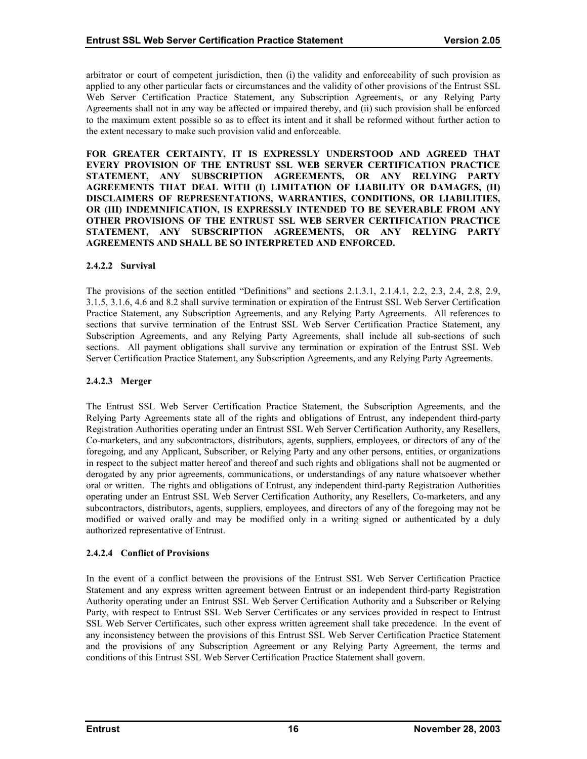arbitrator or court of competent jurisdiction, then (i) the validity and enforceability of such provision as applied to any other particular facts or circumstances and the validity of other provisions of the Entrust SSL Web Server Certification Practice Statement, any Subscription Agreements, or any Relying Party Agreements shall not in any way be affected or impaired thereby, and (ii) such provision shall be enforced to the maximum extent possible so as to effect its intent and it shall be reformed without further action to the extent necessary to make such provision valid and enforceable.

**FOR GREATER CERTAINTY, IT IS EXPRESSLY UNDERSTOOD AND AGREED THAT EVERY PROVISION OF THE ENTRUST SSL WEB SERVER CERTIFICATION PRACTICE STATEMENT, ANY SUBSCRIPTION AGREEMENTS, OR ANY RELYING PARTY AGREEMENTS THAT DEAL WITH (I) LIMITATION OF LIABILITY OR DAMAGES, (II) DISCLAIMERS OF REPRESENTATIONS, WARRANTIES, CONDITIONS, OR LIABILITIES, OR (III) INDEMNIFICATION, IS EXPRESSLY INTENDED TO BE SEVERABLE FROM ANY OTHER PROVISIONS OF THE ENTRUST SSL WEB SERVER CERTIFICATION PRACTICE STATEMENT, ANY SUBSCRIPTION AGREEMENTS, OR ANY RELYING PARTY AGREEMENTS AND SHALL BE SO INTERPRETED AND ENFORCED.** 

#### **2.4.2.2 Survival**

The provisions of the section entitled "Definitions" and sections 2.1.3.1, 2.1.4.1, 2.2, 2.3, 2.4, 2.8, 2.9, 3.1.5, 3.1.6, 4.6 and 8.2 shall survive termination or expiration of the Entrust SSL Web Server Certification Practice Statement, any Subscription Agreements, and any Relying Party Agreements. All references to sections that survive termination of the Entrust SSL Web Server Certification Practice Statement, any Subscription Agreements, and any Relying Party Agreements, shall include all sub-sections of such sections. All payment obligations shall survive any termination or expiration of the Entrust SSL Web Server Certification Practice Statement, any Subscription Agreements, and any Relying Party Agreements.

#### **2.4.2.3 Merger**

The Entrust SSL Web Server Certification Practice Statement, the Subscription Agreements, and the Relying Party Agreements state all of the rights and obligations of Entrust, any independent third-party Registration Authorities operating under an Entrust SSL Web Server Certification Authority, any Resellers, Co-marketers, and any subcontractors, distributors, agents, suppliers, employees, or directors of any of the foregoing, and any Applicant, Subscriber, or Relying Party and any other persons, entities, or organizations in respect to the subject matter hereof and thereof and such rights and obligations shall not be augmented or derogated by any prior agreements, communications, or understandings of any nature whatsoever whether oral or written. The rights and obligations of Entrust, any independent third-party Registration Authorities operating under an Entrust SSL Web Server Certification Authority, any Resellers, Co-marketers, and any subcontractors, distributors, agents, suppliers, employees, and directors of any of the foregoing may not be modified or waived orally and may be modified only in a writing signed or authenticated by a duly authorized representative of Entrust.

## **2.4.2.4 Conflict of Provisions**

In the event of a conflict between the provisions of the Entrust SSL Web Server Certification Practice Statement and any express written agreement between Entrust or an independent third-party Registration Authority operating under an Entrust SSL Web Server Certification Authority and a Subscriber or Relying Party, with respect to Entrust SSL Web Server Certificates or any services provided in respect to Entrust SSL Web Server Certificates, such other express written agreement shall take precedence. In the event of any inconsistency between the provisions of this Entrust SSL Web Server Certification Practice Statement and the provisions of any Subscription Agreement or any Relying Party Agreement, the terms and conditions of this Entrust SSL Web Server Certification Practice Statement shall govern.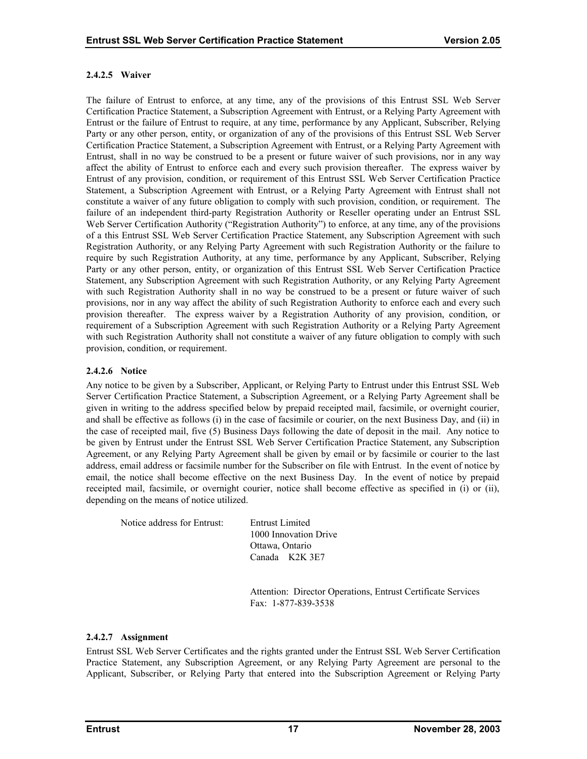## **2.4.2.5 Waiver**

The failure of Entrust to enforce, at any time, any of the provisions of this Entrust SSL Web Server Certification Practice Statement, a Subscription Agreement with Entrust, or a Relying Party Agreement with Entrust or the failure of Entrust to require, at any time, performance by any Applicant, Subscriber, Relying Party or any other person, entity, or organization of any of the provisions of this Entrust SSL Web Server Certification Practice Statement, a Subscription Agreement with Entrust, or a Relying Party Agreement with Entrust, shall in no way be construed to be a present or future waiver of such provisions, nor in any way affect the ability of Entrust to enforce each and every such provision thereafter. The express waiver by Entrust of any provision, condition, or requirement of this Entrust SSL Web Server Certification Practice Statement, a Subscription Agreement with Entrust, or a Relying Party Agreement with Entrust shall not constitute a waiver of any future obligation to comply with such provision, condition, or requirement. The failure of an independent third-party Registration Authority or Reseller operating under an Entrust SSL Web Server Certification Authority ("Registration Authority") to enforce, at any time, any of the provisions of a this Entrust SSL Web Server Certification Practice Statement, any Subscription Agreement with such Registration Authority, or any Relying Party Agreement with such Registration Authority or the failure to require by such Registration Authority, at any time, performance by any Applicant, Subscriber, Relying Party or any other person, entity, or organization of this Entrust SSL Web Server Certification Practice Statement, any Subscription Agreement with such Registration Authority, or any Relying Party Agreement with such Registration Authority shall in no way be construed to be a present or future waiver of such provisions, nor in any way affect the ability of such Registration Authority to enforce each and every such provision thereafter. The express waiver by a Registration Authority of any provision, condition, or requirement of a Subscription Agreement with such Registration Authority or a Relying Party Agreement with such Registration Authority shall not constitute a waiver of any future obligation to comply with such provision, condition, or requirement.

## **2.4.2.6 Notice**

Any notice to be given by a Subscriber, Applicant, or Relying Party to Entrust under this Entrust SSL Web Server Certification Practice Statement, a Subscription Agreement, or a Relying Party Agreement shall be given in writing to the address specified below by prepaid receipted mail, facsimile, or overnight courier, and shall be effective as follows (i) in the case of facsimile or courier, on the next Business Day, and (ii) in the case of receipted mail, five (5) Business Days following the date of deposit in the mail. Any notice to be given by Entrust under the Entrust SSL Web Server Certification Practice Statement, any Subscription Agreement, or any Relying Party Agreement shall be given by email or by facsimile or courier to the last address, email address or facsimile number for the Subscriber on file with Entrust. In the event of notice by email, the notice shall become effective on the next Business Day. In the event of notice by prepaid receipted mail, facsimile, or overnight courier, notice shall become effective as specified in (i) or (ii), depending on the means of notice utilized.

Notice address for Entrust: Entrust Limited

1000 Innovation Drive Ottawa, Ontario Canada K2K 3E7

 Attention: Director Operations, Entrust Certificate Services Fax: 1-877-839-3538

## **2.4.2.7 Assignment**

Entrust SSL Web Server Certificates and the rights granted under the Entrust SSL Web Server Certification Practice Statement, any Subscription Agreement, or any Relying Party Agreement are personal to the Applicant, Subscriber, or Relying Party that entered into the Subscription Agreement or Relying Party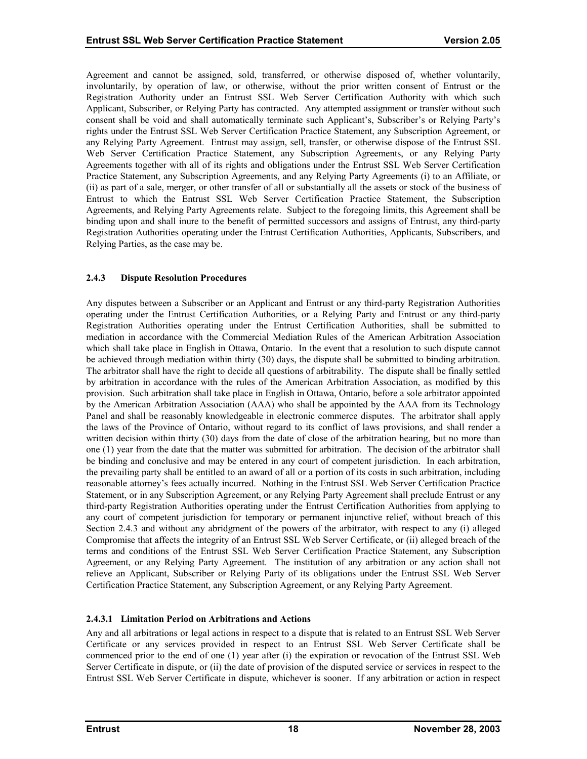<span id="page-22-0"></span>Agreement and cannot be assigned, sold, transferred, or otherwise disposed of, whether voluntarily, involuntarily, by operation of law, or otherwise, without the prior written consent of Entrust or the Registration Authority under an Entrust SSL Web Server Certification Authority with which such Applicant, Subscriber, or Relying Party has contracted. Any attempted assignment or transfer without such consent shall be void and shall automatically terminate such Applicant's, Subscriber's or Relying Party's rights under the Entrust SSL Web Server Certification Practice Statement, any Subscription Agreement, or any Relying Party Agreement. Entrust may assign, sell, transfer, or otherwise dispose of the Entrust SSL Web Server Certification Practice Statement, any Subscription Agreements, or any Relying Party Agreements together with all of its rights and obligations under the Entrust SSL Web Server Certification Practice Statement, any Subscription Agreements, and any Relying Party Agreements (i) to an Affiliate, or (ii) as part of a sale, merger, or other transfer of all or substantially all the assets or stock of the business of Entrust to which the Entrust SSL Web Server Certification Practice Statement, the Subscription Agreements, and Relying Party Agreements relate. Subject to the foregoing limits, this Agreement shall be binding upon and shall inure to the benefit of permitted successors and assigns of Entrust, any third-party Registration Authorities operating under the Entrust Certification Authorities, Applicants, Subscribers, and Relying Parties, as the case may be.

#### **2.4.3 Dispute Resolution Procedures**

Any disputes between a Subscriber or an Applicant and Entrust or any third-party Registration Authorities operating under the Entrust Certification Authorities, or a Relying Party and Entrust or any third-party Registration Authorities operating under the Entrust Certification Authorities, shall be submitted to mediation in accordance with the Commercial Mediation Rules of the American Arbitration Association which shall take place in English in Ottawa, Ontario. In the event that a resolution to such dispute cannot be achieved through mediation within thirty (30) days, the dispute shall be submitted to binding arbitration. The arbitrator shall have the right to decide all questions of arbitrability. The dispute shall be finally settled by arbitration in accordance with the rules of the American Arbitration Association, as modified by this provision. Such arbitration shall take place in English in Ottawa, Ontario, before a sole arbitrator appointed by the American Arbitration Association (AAA) who shall be appointed by the AAA from its Technology Panel and shall be reasonably knowledgeable in electronic commerce disputes. The arbitrator shall apply the laws of the Province of Ontario, without regard to its conflict of laws provisions, and shall render a written decision within thirty (30) days from the date of close of the arbitration hearing, but no more than one (1) year from the date that the matter was submitted for arbitration. The decision of the arbitrator shall be binding and conclusive and may be entered in any court of competent jurisdiction. In each arbitration, the prevailing party shall be entitled to an award of all or a portion of its costs in such arbitration, including reasonable attorney's fees actually incurred. Nothing in the Entrust SSL Web Server Certification Practice Statement, or in any Subscription Agreement, or any Relying Party Agreement shall preclude Entrust or any third-party Registration Authorities operating under the Entrust Certification Authorities from applying to any court of competent jurisdiction for temporary or permanent injunctive relief, without breach of this Section 2.4.3 and without any abridgment of the powers of the arbitrator, with respect to any (i) alleged Compromise that affects the integrity of an Entrust SSL Web Server Certificate, or (ii) alleged breach of the terms and conditions of the Entrust SSL Web Server Certification Practice Statement, any Subscription Agreement, or any Relying Party Agreement. The institution of any arbitration or any action shall not relieve an Applicant, Subscriber or Relying Party of its obligations under the Entrust SSL Web Server Certification Practice Statement, any Subscription Agreement, or any Relying Party Agreement.

## **2.4.3.1 Limitation Period on Arbitrations and Actions**

Any and all arbitrations or legal actions in respect to a dispute that is related to an Entrust SSL Web Server Certificate or any services provided in respect to an Entrust SSL Web Server Certificate shall be commenced prior to the end of one (1) year after (i) the expiration or revocation of the Entrust SSL Web Server Certificate in dispute, or (ii) the date of provision of the disputed service or services in respect to the Entrust SSL Web Server Certificate in dispute, whichever is sooner. If any arbitration or action in respect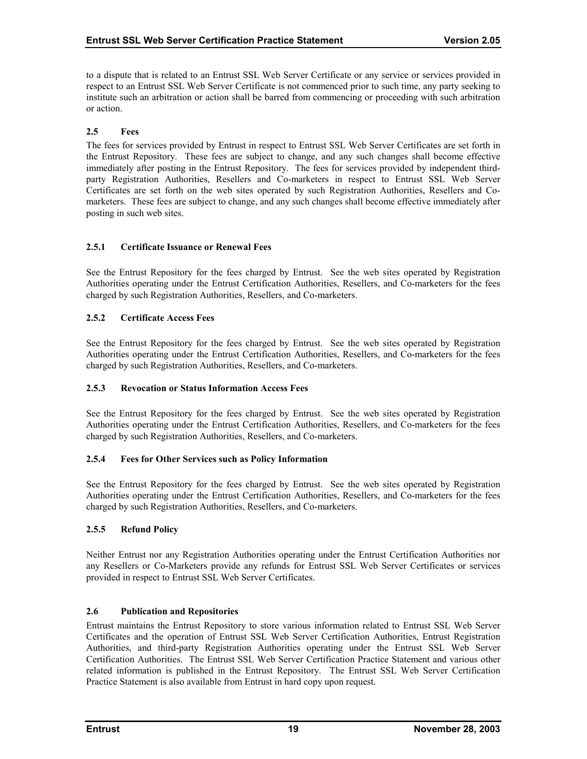<span id="page-23-0"></span>to a dispute that is related to an Entrust SSL Web Server Certificate or any service or services provided in respect to an Entrust SSL Web Server Certificate is not commenced prior to such time, any party seeking to institute such an arbitration or action shall be barred from commencing or proceeding with such arbitration or action.

## **2.5 Fees**

The fees for services provided by Entrust in respect to Entrust SSL Web Server Certificates are set forth in the Entrust Repository. These fees are subject to change, and any such changes shall become effective immediately after posting in the Entrust Repository. The fees for services provided by independent thirdparty Registration Authorities, Resellers and Co-marketers in respect to Entrust SSL Web Server Certificates are set forth on the web sites operated by such Registration Authorities, Resellers and Comarketers. These fees are subject to change, and any such changes shall become effective immediately after posting in such web sites.

## **2.5.1 Certificate Issuance or Renewal Fees**

See the Entrust Repository for the fees charged by Entrust. See the web sites operated by Registration Authorities operating under the Entrust Certification Authorities, Resellers, and Co-marketers for the fees charged by such Registration Authorities, Resellers, and Co-marketers.

#### **2.5.2 Certificate Access Fees**

See the Entrust Repository for the fees charged by Entrust. See the web sites operated by Registration Authorities operating under the Entrust Certification Authorities, Resellers, and Co-marketers for the fees charged by such Registration Authorities, Resellers, and Co-marketers.

#### **2.5.3 Revocation or Status Information Access Fees**

See the Entrust Repository for the fees charged by Entrust. See the web sites operated by Registration Authorities operating under the Entrust Certification Authorities, Resellers, and Co-marketers for the fees charged by such Registration Authorities, Resellers, and Co-marketers.

## **2.5.4 Fees for Other Services such as Policy Information**

See the Entrust Repository for the fees charged by Entrust. See the web sites operated by Registration Authorities operating under the Entrust Certification Authorities, Resellers, and Co-marketers for the fees charged by such Registration Authorities, Resellers, and Co-marketers.

## **2.5.5 Refund Policy**

Neither Entrust nor any Registration Authorities operating under the Entrust Certification Authorities nor any Resellers or Co-Marketers provide any refunds for Entrust SSL Web Server Certificates or services provided in respect to Entrust SSL Web Server Certificates.

## **2.6 Publication and Repositories**

Entrust maintains the Entrust Repository to store various information related to Entrust SSL Web Server Certificates and the operation of Entrust SSL Web Server Certification Authorities, Entrust Registration Authorities, and third-party Registration Authorities operating under the Entrust SSL Web Server Certification Authorities. The Entrust SSL Web Server Certification Practice Statement and various other related information is published in the Entrust Repository. The Entrust SSL Web Server Certification Practice Statement is also available from Entrust in hard copy upon request.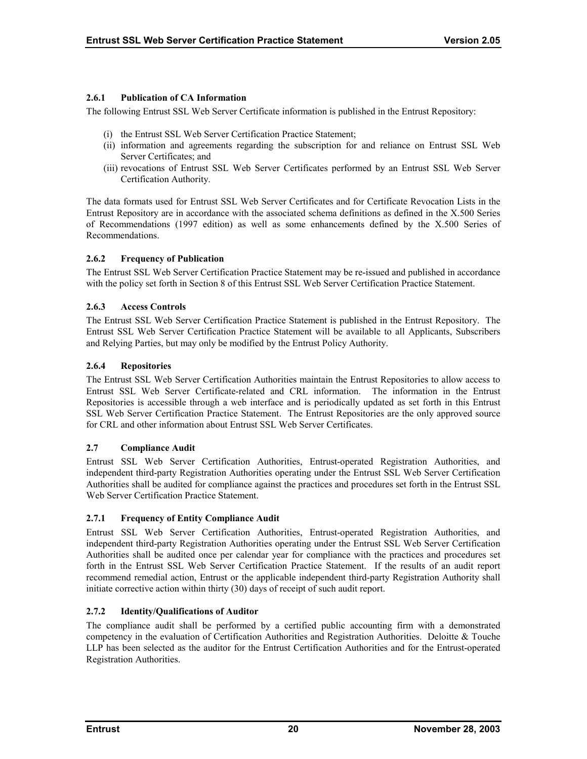## <span id="page-24-0"></span>**2.6.1 Publication of CA Information**

The following Entrust SSL Web Server Certificate information is published in the Entrust Repository:

- (i) the Entrust SSL Web Server Certification Practice Statement;
- (ii) information and agreements regarding the subscription for and reliance on Entrust SSL Web Server Certificates; and
- (iii) revocations of Entrust SSL Web Server Certificates performed by an Entrust SSL Web Server Certification Authority.

The data formats used for Entrust SSL Web Server Certificates and for Certificate Revocation Lists in the Entrust Repository are in accordance with the associated schema definitions as defined in the X.500 Series of Recommendations (1997 edition) as well as some enhancements defined by the X.500 Series of Recommendations.

## **2.6.2 Frequency of Publication**

The Entrust SSL Web Server Certification Practice Statement may be re-issued and published in accordance with the policy set forth in Section 8 of this Entrust SSL Web Server Certification Practice Statement.

## **2.6.3 Access Controls**

The Entrust SSL Web Server Certification Practice Statement is published in the Entrust Repository. The Entrust SSL Web Server Certification Practice Statement will be available to all Applicants, Subscribers and Relying Parties, but may only be modified by the Entrust Policy Authority.

## **2.6.4 Repositories**

The Entrust SSL Web Server Certification Authorities maintain the Entrust Repositories to allow access to Entrust SSL Web Server Certificate-related and CRL information. The information in the Entrust Repositories is accessible through a web interface and is periodically updated as set forth in this Entrust SSL Web Server Certification Practice Statement. The Entrust Repositories are the only approved source for CRL and other information about Entrust SSL Web Server Certificates.

## **2.7 Compliance Audit**

Entrust SSL Web Server Certification Authorities, Entrust-operated Registration Authorities, and independent third-party Registration Authorities operating under the Entrust SSL Web Server Certification Authorities shall be audited for compliance against the practices and procedures set forth in the Entrust SSL Web Server Certification Practice Statement.

## **2.7.1 Frequency of Entity Compliance Audit**

Entrust SSL Web Server Certification Authorities, Entrust-operated Registration Authorities, and independent third-party Registration Authorities operating under the Entrust SSL Web Server Certification Authorities shall be audited once per calendar year for compliance with the practices and procedures set forth in the Entrust SSL Web Server Certification Practice Statement. If the results of an audit report recommend remedial action, Entrust or the applicable independent third-party Registration Authority shall initiate corrective action within thirty (30) days of receipt of such audit report.

## **2.7.2 Identity/Qualifications of Auditor**

The compliance audit shall be performed by a certified public accounting firm with a demonstrated competency in the evaluation of Certification Authorities and Registration Authorities. Deloitte & Touche LLP has been selected as the auditor for the Entrust Certification Authorities and for the Entrust-operated Registration Authorities.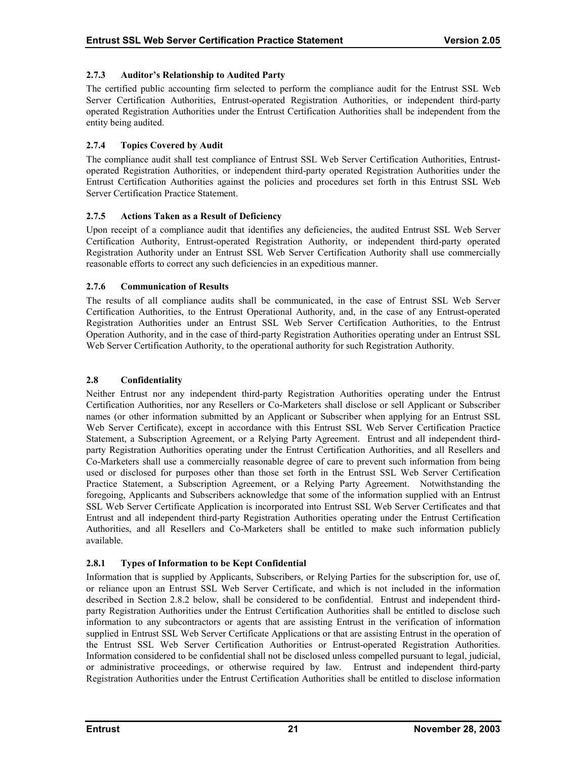## <span id="page-25-0"></span>**2.7.3 Auditor's Relationship to Audited Party**

The certified public accounting firm selected to perform the compliance audit for the Entrust SSL Web Server Certification Authorities, Entrust-operated Registration Authorities, or independent third-party operated Registration Authorities under the Entrust Certification Authorities shall be independent from the entity being audited.

## **2.7.4 Topics Covered by Audit**

The compliance audit shall test compliance of Entrust SSL Web Server Certification Authorities, Entrustoperated Registration Authorities, or independent third-party operated Registration Authorities under the Entrust Certification Authorities against the policies and procedures set forth in this Entrust SSL Web Server Certification Practice Statement.

## **2.7.5 Actions Taken as a Result of Deficiency**

Upon receipt of a compliance audit that identifies any deficiencies, the audited Entrust SSL Web Server Certification Authority, Entrust-operated Registration Authority, or independent third-party operated Registration Authority under an Entrust SSL Web Server Certification Authority shall use commercially reasonable efforts to correct any such deficiencies in an expeditious manner.

## **2.7.6 Communication of Results**

The results of all compliance audits shall be communicated, in the case of Entrust SSL Web Server Certification Authorities, to the Entrust Operational Authority, and, in the case of any Entrust-operated Registration Authorities under an Entrust SSL Web Server Certification Authorities, to the Entrust Operation Authority, and in the case of third-party Registration Authorities operating under an Entrust SSL Web Server Certification Authority, to the operational authority for such Registration Authority.

## **2.8 Confidentiality**

Neither Entrust nor any independent third-party Registration Authorities operating under the Entrust Certification Authorities, nor any Resellers or Co-Marketers shall disclose or sell Applicant or Subscriber names (or other information submitted by an Applicant or Subscriber when applying for an Entrust SSL Web Server Certificate), except in accordance with this Entrust SSL Web Server Certification Practice Statement, a Subscription Agreement, or a Relying Party Agreement. Entrust and all independent thirdparty Registration Authorities operating under the Entrust Certification Authorities, and all Resellers and Co-Marketers shall use a commercially reasonable degree of care to prevent such information from being used or disclosed for purposes other than those set forth in the Entrust SSL Web Server Certification Practice Statement, a Subscription Agreement, or a Relying Party Agreement. Notwithstanding the foregoing, Applicants and Subscribers acknowledge that some of the information supplied with an Entrust SSL Web Server Certificate Application is incorporated into Entrust SSL Web Server Certificates and that Entrust and all independent third-party Registration Authorities operating under the Entrust Certification Authorities, and all Resellers and Co-Marketers shall be entitled to make such information publicly available.

## **2.8.1 Types of Information to be Kept Confidential**

Information that is supplied by Applicants, Subscribers, or Relying Parties for the subscription for, use of, or reliance upon an Entrust SSL Web Server Certificate, and which is not included in the information described in Section 2.8.2 below, shall be considered to be confidential. Entrust and independent thirdparty Registration Authorities under the Entrust Certification Authorities shall be entitled to disclose such information to any subcontractors or agents that are assisting Entrust in the verification of information supplied in Entrust SSL Web Server Certificate Applications or that are assisting Entrust in the operation of the Entrust SSL Web Server Certification Authorities or Entrust-operated Registration Authorities. Information considered to be confidential shall not be disclosed unless compelled pursuant to legal, judicial, or administrative proceedings, or otherwise required by law. Entrust and independent third-party Registration Authorities under the Entrust Certification Authorities shall be entitled to disclose information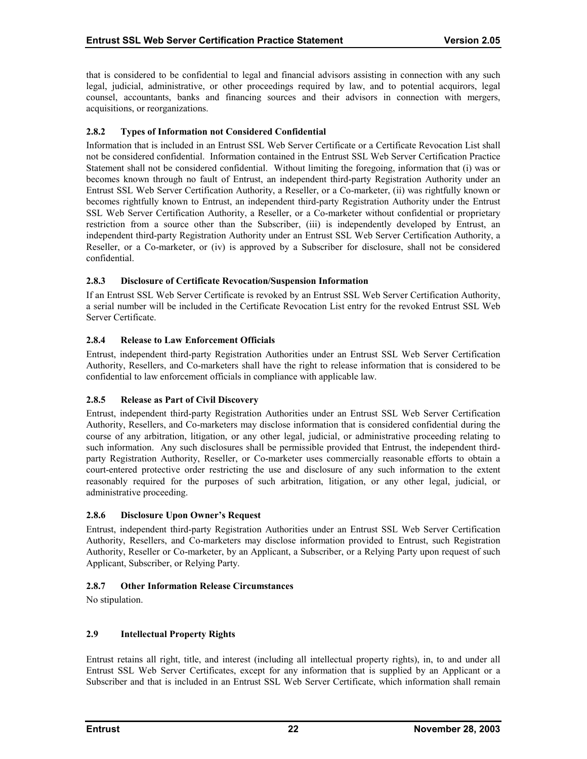<span id="page-26-0"></span>that is considered to be confidential to legal and financial advisors assisting in connection with any such legal, judicial, administrative, or other proceedings required by law, and to potential acquirors, legal counsel, accountants, banks and financing sources and their advisors in connection with mergers, acquisitions, or reorganizations.

## **2.8.2 Types of Information not Considered Confidential**

Information that is included in an Entrust SSL Web Server Certificate or a Certificate Revocation List shall not be considered confidential. Information contained in the Entrust SSL Web Server Certification Practice Statement shall not be considered confidential. Without limiting the foregoing, information that (i) was or becomes known through no fault of Entrust, an independent third-party Registration Authority under an Entrust SSL Web Server Certification Authority, a Reseller, or a Co-marketer, (ii) was rightfully known or becomes rightfully known to Entrust, an independent third-party Registration Authority under the Entrust SSL Web Server Certification Authority, a Reseller, or a Co-marketer without confidential or proprietary restriction from a source other than the Subscriber, (iii) is independently developed by Entrust, an independent third-party Registration Authority under an Entrust SSL Web Server Certification Authority, a Reseller, or a Co-marketer, or (iv) is approved by a Subscriber for disclosure, shall not be considered confidential.

#### **2.8.3 Disclosure of Certificate Revocation/Suspension Information**

If an Entrust SSL Web Server Certificate is revoked by an Entrust SSL Web Server Certification Authority, a serial number will be included in the Certificate Revocation List entry for the revoked Entrust SSL Web Server Certificate.

## **2.8.4 Release to Law Enforcement Officials**

Entrust, independent third-party Registration Authorities under an Entrust SSL Web Server Certification Authority, Resellers, and Co-marketers shall have the right to release information that is considered to be confidential to law enforcement officials in compliance with applicable law.

## **2.8.5 Release as Part of Civil Discovery**

Entrust, independent third-party Registration Authorities under an Entrust SSL Web Server Certification Authority, Resellers, and Co-marketers may disclose information that is considered confidential during the course of any arbitration, litigation, or any other legal, judicial, or administrative proceeding relating to such information. Any such disclosures shall be permissible provided that Entrust, the independent thirdparty Registration Authority, Reseller, or Co-marketer uses commercially reasonable efforts to obtain a court-entered protective order restricting the use and disclosure of any such information to the extent reasonably required for the purposes of such arbitration, litigation, or any other legal, judicial, or administrative proceeding.

## **2.8.6 Disclosure Upon Owner's Request**

Entrust, independent third-party Registration Authorities under an Entrust SSL Web Server Certification Authority, Resellers, and Co-marketers may disclose information provided to Entrust, such Registration Authority, Reseller or Co-marketer, by an Applicant, a Subscriber, or a Relying Party upon request of such Applicant, Subscriber, or Relying Party.

## **2.8.7 Other Information Release Circumstances**

No stipulation.

## **2.9 Intellectual Property Rights**

Entrust retains all right, title, and interest (including all intellectual property rights), in, to and under all Entrust SSL Web Server Certificates, except for any information that is supplied by an Applicant or a Subscriber and that is included in an Entrust SSL Web Server Certificate, which information shall remain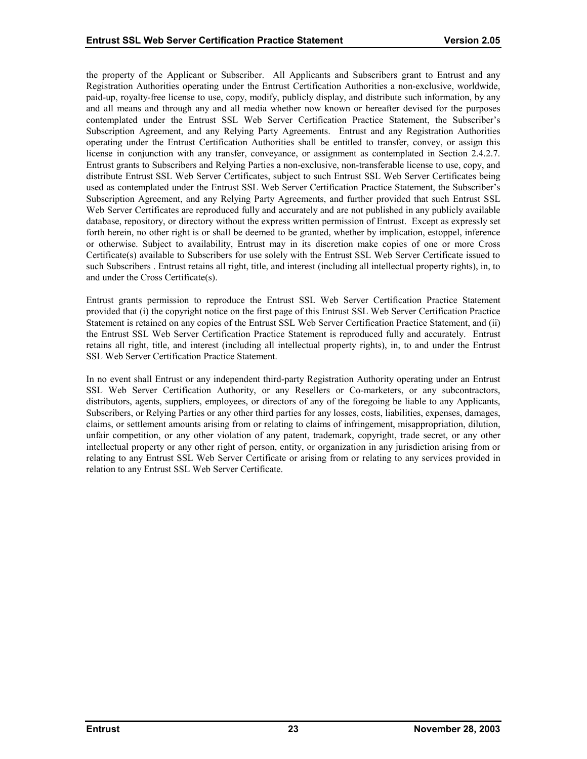the property of the Applicant or Subscriber. All Applicants and Subscribers grant to Entrust and any Registration Authorities operating under the Entrust Certification Authorities a non-exclusive, worldwide, paid-up, royalty-free license to use, copy, modify, publicly display, and distribute such information, by any and all means and through any and all media whether now known or hereafter devised for the purposes contemplated under the Entrust SSL Web Server Certification Practice Statement, the Subscriber's Subscription Agreement, and any Relying Party Agreements. Entrust and any Registration Authorities operating under the Entrust Certification Authorities shall be entitled to transfer, convey, or assign this license in conjunction with any transfer, conveyance, or assignment as contemplated in Section 2.4.2.7. Entrust grants to Subscribers and Relying Parties a non-exclusive, non-transferable license to use, copy, and distribute Entrust SSL Web Server Certificates, subject to such Entrust SSL Web Server Certificates being used as contemplated under the Entrust SSL Web Server Certification Practice Statement, the Subscriber's Subscription Agreement, and any Relying Party Agreements, and further provided that such Entrust SSL Web Server Certificates are reproduced fully and accurately and are not published in any publicly available database, repository, or directory without the express written permission of Entrust. Except as expressly set forth herein, no other right is or shall be deemed to be granted, whether by implication, estoppel, inference or otherwise. Subject to availability, Entrust may in its discretion make copies of one or more Cross Certificate(s) available to Subscribers for use solely with the Entrust SSL Web Server Certificate issued to such Subscribers . Entrust retains all right, title, and interest (including all intellectual property rights), in, to and under the Cross Certificate(s).

Entrust grants permission to reproduce the Entrust SSL Web Server Certification Practice Statement provided that (i) the copyright notice on the first page of this Entrust SSL Web Server Certification Practice Statement is retained on any copies of the Entrust SSL Web Server Certification Practice Statement, and (ii) the Entrust SSL Web Server Certification Practice Statement is reproduced fully and accurately. Entrust retains all right, title, and interest (including all intellectual property rights), in, to and under the Entrust SSL Web Server Certification Practice Statement.

In no event shall Entrust or any independent third-party Registration Authority operating under an Entrust SSL Web Server Certification Authority, or any Resellers or Co-marketers, or any subcontractors, distributors, agents, suppliers, employees, or directors of any of the foregoing be liable to any Applicants, Subscribers, or Relying Parties or any other third parties for any losses, costs, liabilities, expenses, damages, claims, or settlement amounts arising from or relating to claims of infringement, misappropriation, dilution, unfair competition, or any other violation of any patent, trademark, copyright, trade secret, or any other intellectual property or any other right of person, entity, or organization in any jurisdiction arising from or relating to any Entrust SSL Web Server Certificate or arising from or relating to any services provided in relation to any Entrust SSL Web Server Certificate.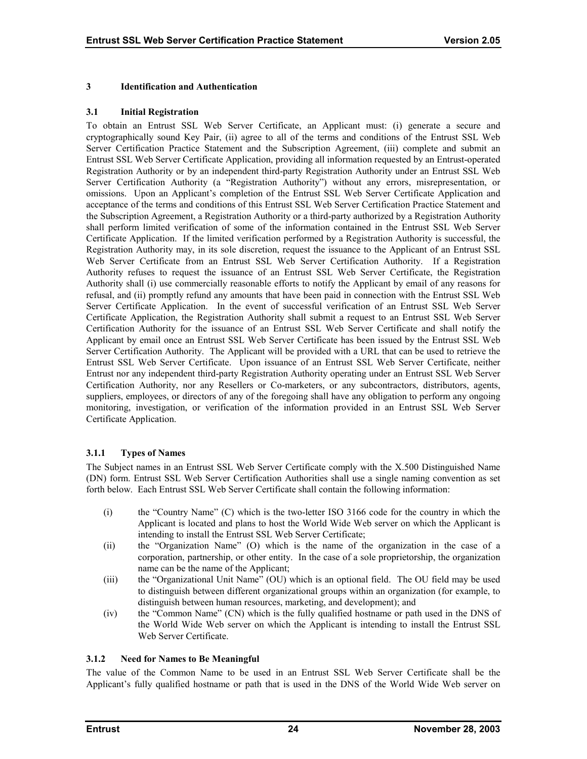#### <span id="page-28-0"></span>**3 Identification and Authentication**

#### **3.1 Initial Registration**

To obtain an Entrust SSL Web Server Certificate, an Applicant must: (i) generate a secure and cryptographically sound Key Pair, (ii) agree to all of the terms and conditions of the Entrust SSL Web Server Certification Practice Statement and the Subscription Agreement, (iii) complete and submit an Entrust SSL Web Server Certificate Application, providing all information requested by an Entrust-operated Registration Authority or by an independent third-party Registration Authority under an Entrust SSL Web Server Certification Authority (a "Registration Authority") without any errors, misrepresentation, or omissions. Upon an Applicant's completion of the Entrust SSL Web Server Certificate Application and acceptance of the terms and conditions of this Entrust SSL Web Server Certification Practice Statement and the Subscription Agreement, a Registration Authority or a third-party authorized by a Registration Authority shall perform limited verification of some of the information contained in the Entrust SSL Web Server Certificate Application. If the limited verification performed by a Registration Authority is successful, the Registration Authority may, in its sole discretion, request the issuance to the Applicant of an Entrust SSL Web Server Certificate from an Entrust SSL Web Server Certification Authority. If a Registration Authority refuses to request the issuance of an Entrust SSL Web Server Certificate, the Registration Authority shall (i) use commercially reasonable efforts to notify the Applicant by email of any reasons for refusal, and (ii) promptly refund any amounts that have been paid in connection with the Entrust SSL Web Server Certificate Application. In the event of successful verification of an Entrust SSL Web Server Certificate Application, the Registration Authority shall submit a request to an Entrust SSL Web Server Certification Authority for the issuance of an Entrust SSL Web Server Certificate and shall notify the Applicant by email once an Entrust SSL Web Server Certificate has been issued by the Entrust SSL Web Server Certification Authority. The Applicant will be provided with a URL that can be used to retrieve the Entrust SSL Web Server Certificate. Upon issuance of an Entrust SSL Web Server Certificate, neither Entrust nor any independent third-party Registration Authority operating under an Entrust SSL Web Server Certification Authority, nor any Resellers or Co-marketers, or any subcontractors, distributors, agents, suppliers, employees, or directors of any of the foregoing shall have any obligation to perform any ongoing monitoring, investigation, or verification of the information provided in an Entrust SSL Web Server Certificate Application.

## **3.1.1 Types of Names**

The Subject names in an Entrust SSL Web Server Certificate comply with the X.500 Distinguished Name (DN) form. Entrust SSL Web Server Certification Authorities shall use a single naming convention as set forth below. Each Entrust SSL Web Server Certificate shall contain the following information:

- (i) the "Country Name" (C) which is the two-letter ISO 3166 code for the country in which the Applicant is located and plans to host the World Wide Web server on which the Applicant is intending to install the Entrust SSL Web Server Certificate;
- (ii) the "Organization Name" (O) which is the name of the organization in the case of a corporation, partnership, or other entity. In the case of a sole proprietorship, the organization name can be the name of the Applicant;
- (iii) the "Organizational Unit Name" (OU) which is an optional field. The OU field may be used to distinguish between different organizational groups within an organization (for example, to distinguish between human resources, marketing, and development); and
- (iv) the "Common Name" (CN) which is the fully qualified hostname or path used in the DNS of the World Wide Web server on which the Applicant is intending to install the Entrust SSL Web Server Certificate.

## **3.1.2 Need for Names to Be Meaningful**

The value of the Common Name to be used in an Entrust SSL Web Server Certificate shall be the Applicant's fully qualified hostname or path that is used in the DNS of the World Wide Web server on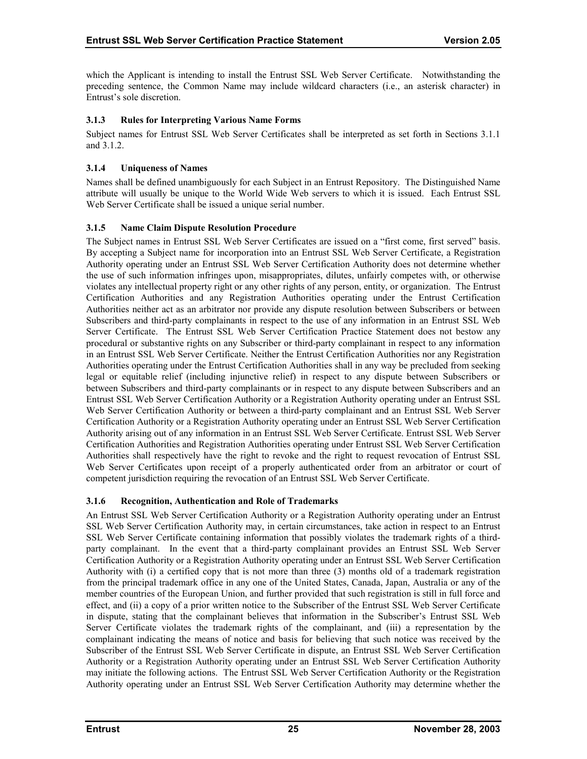<span id="page-29-0"></span>which the Applicant is intending to install the Entrust SSL Web Server Certificate. Notwithstanding the preceding sentence, the Common Name may include wildcard characters (i.e., an asterisk character) in Entrust's sole discretion.

## **3.1.3 Rules for Interpreting Various Name Forms**

Subject names for Entrust SSL Web Server Certificates shall be interpreted as set forth in Sections 3.1.1 and 3.1.2.

## **3.1.4 Uniqueness of Names**

Names shall be defined unambiguously for each Subject in an Entrust Repository. The Distinguished Name attribute will usually be unique to the World Wide Web servers to which it is issued. Each Entrust SSL Web Server Certificate shall be issued a unique serial number.

## **3.1.5 Name Claim Dispute Resolution Procedure**

The Subject names in Entrust SSL Web Server Certificates are issued on a "first come, first served" basis. By accepting a Subject name for incorporation into an Entrust SSL Web Server Certificate, a Registration Authority operating under an Entrust SSL Web Server Certification Authority does not determine whether the use of such information infringes upon, misappropriates, dilutes, unfairly competes with, or otherwise violates any intellectual property right or any other rights of any person, entity, or organization. The Entrust Certification Authorities and any Registration Authorities operating under the Entrust Certification Authorities neither act as an arbitrator nor provide any dispute resolution between Subscribers or between Subscribers and third-party complainants in respect to the use of any information in an Entrust SSL Web Server Certificate. The Entrust SSL Web Server Certification Practice Statement does not bestow any procedural or substantive rights on any Subscriber or third-party complainant in respect to any information in an Entrust SSL Web Server Certificate. Neither the Entrust Certification Authorities nor any Registration Authorities operating under the Entrust Certification Authorities shall in any way be precluded from seeking legal or equitable relief (including injunctive relief) in respect to any dispute between Subscribers or between Subscribers and third-party complainants or in respect to any dispute between Subscribers and an Entrust SSL Web Server Certification Authority or a Registration Authority operating under an Entrust SSL Web Server Certification Authority or between a third-party complainant and an Entrust SSL Web Server Certification Authority or a Registration Authority operating under an Entrust SSL Web Server Certification Authority arising out of any information in an Entrust SSL Web Server Certificate. Entrust SSL Web Server Certification Authorities and Registration Authorities operating under Entrust SSL Web Server Certification Authorities shall respectively have the right to revoke and the right to request revocation of Entrust SSL Web Server Certificates upon receipt of a properly authenticated order from an arbitrator or court of competent jurisdiction requiring the revocation of an Entrust SSL Web Server Certificate.

## **3.1.6 Recognition, Authentication and Role of Trademarks**

An Entrust SSL Web Server Certification Authority or a Registration Authority operating under an Entrust SSL Web Server Certification Authority may, in certain circumstances, take action in respect to an Entrust SSL Web Server Certificate containing information that possibly violates the trademark rights of a thirdparty complainant. In the event that a third-party complainant provides an Entrust SSL Web Server Certification Authority or a Registration Authority operating under an Entrust SSL Web Server Certification Authority with (i) a certified copy that is not more than three (3) months old of a trademark registration from the principal trademark office in any one of the United States, Canada, Japan, Australia or any of the member countries of the European Union, and further provided that such registration is still in full force and effect, and (ii) a copy of a prior written notice to the Subscriber of the Entrust SSL Web Server Certificate in dispute, stating that the complainant believes that information in the Subscriber's Entrust SSL Web Server Certificate violates the trademark rights of the complainant, and (iii) a representation by the complainant indicating the means of notice and basis for believing that such notice was received by the Subscriber of the Entrust SSL Web Server Certificate in dispute, an Entrust SSL Web Server Certification Authority or a Registration Authority operating under an Entrust SSL Web Server Certification Authority may initiate the following actions. The Entrust SSL Web Server Certification Authority or the Registration Authority operating under an Entrust SSL Web Server Certification Authority may determine whether the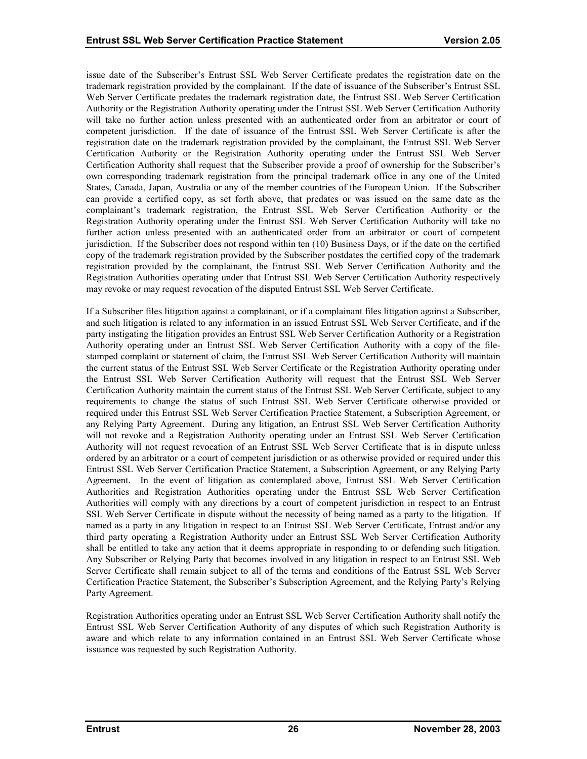issue date of the Subscriber's Entrust SSL Web Server Certificate predates the registration date on the trademark registration provided by the complainant. If the date of issuance of the Subscriber's Entrust SSL Web Server Certificate predates the trademark registration date, the Entrust SSL Web Server Certification Authority or the Registration Authority operating under the Entrust SSL Web Server Certification Authority will take no further action unless presented with an authenticated order from an arbitrator or court of competent jurisdiction. If the date of issuance of the Entrust SSL Web Server Certificate is after the registration date on the trademark registration provided by the complainant, the Entrust SSL Web Server Certification Authority or the Registration Authority operating under the Entrust SSL Web Server Certification Authority shall request that the Subscriber provide a proof of ownership for the Subscriber's own corresponding trademark registration from the principal trademark office in any one of the United States, Canada, Japan, Australia or any of the member countries of the European Union. If the Subscriber can provide a certified copy, as set forth above, that predates or was issued on the same date as the complainant's trademark registration, the Entrust SSL Web Server Certification Authority or the Registration Authority operating under the Entrust SSL Web Server Certification Authority will take no further action unless presented with an authenticated order from an arbitrator or court of competent jurisdiction. If the Subscriber does not respond within ten (10) Business Days, or if the date on the certified copy of the trademark registration provided by the Subscriber postdates the certified copy of the trademark registration provided by the complainant, the Entrust SSL Web Server Certification Authority and the Registration Authorities operating under that Entrust SSL Web Server Certification Authority respectively may revoke or may request revocation of the disputed Entrust SSL Web Server Certificate.

If a Subscriber files litigation against a complainant, or if a complainant files litigation against a Subscriber, and such litigation is related to any information in an issued Entrust SSL Web Server Certificate, and if the party instigating the litigation provides an Entrust SSL Web Server Certification Authority or a Registration Authority operating under an Entrust SSL Web Server Certification Authority with a copy of the filestamped complaint or statement of claim, the Entrust SSL Web Server Certification Authority will maintain the current status of the Entrust SSL Web Server Certificate or the Registration Authority operating under the Entrust SSL Web Server Certification Authority will request that the Entrust SSL Web Server Certification Authority maintain the current status of the Entrust SSL Web Server Certificate, subject to any requirements to change the status of such Entrust SSL Web Server Certificate otherwise provided or required under this Entrust SSL Web Server Certification Practice Statement, a Subscription Agreement, or any Relying Party Agreement. During any litigation, an Entrust SSL Web Server Certification Authority will not revoke and a Registration Authority operating under an Entrust SSL Web Server Certification Authority will not request revocation of an Entrust SSL Web Server Certificate that is in dispute unless ordered by an arbitrator or a court of competent jurisdiction or as otherwise provided or required under this Entrust SSL Web Server Certification Practice Statement, a Subscription Agreement, or any Relying Party Agreement. In the event of litigation as contemplated above, Entrust SSL Web Server Certification Authorities and Registration Authorities operating under the Entrust SSL Web Server Certification Authorities will comply with any directions by a court of competent jurisdiction in respect to an Entrust SSL Web Server Certificate in dispute without the necessity of being named as a party to the litigation. If named as a party in any litigation in respect to an Entrust SSL Web Server Certificate, Entrust and/or any third party operating a Registration Authority under an Entrust SSL Web Server Certification Authority shall be entitled to take any action that it deems appropriate in responding to or defending such litigation. Any Subscriber or Relying Party that becomes involved in any litigation in respect to an Entrust SSL Web Server Certificate shall remain subject to all of the terms and conditions of the Entrust SSL Web Server Certification Practice Statement, the Subscriber's Subscription Agreement, and the Relying Party's Relying Party Agreement.

Registration Authorities operating under an Entrust SSL Web Server Certification Authority shall notify the Entrust SSL Web Server Certification Authority of any disputes of which such Registration Authority is aware and which relate to any information contained in an Entrust SSL Web Server Certificate whose issuance was requested by such Registration Authority.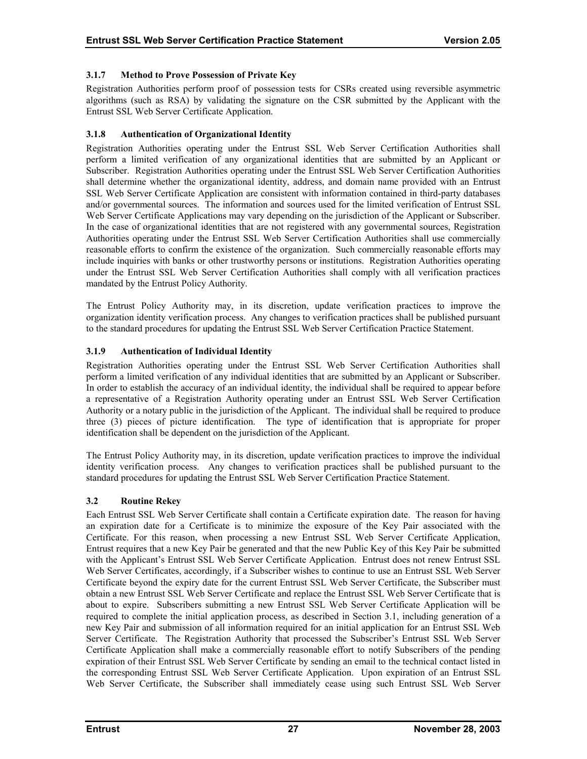## <span id="page-31-0"></span>**3.1.7 Method to Prove Possession of Private Key**

Registration Authorities perform proof of possession tests for CSRs created using reversible asymmetric algorithms (such as RSA) by validating the signature on the CSR submitted by the Applicant with the Entrust SSL Web Server Certificate Application.

## **3.1.8 Authentication of Organizational Identity**

Registration Authorities operating under the Entrust SSL Web Server Certification Authorities shall perform a limited verification of any organizational identities that are submitted by an Applicant or Subscriber. Registration Authorities operating under the Entrust SSL Web Server Certification Authorities shall determine whether the organizational identity, address, and domain name provided with an Entrust SSL Web Server Certificate Application are consistent with information contained in third-party databases and/or governmental sources. The information and sources used for the limited verification of Entrust SSL Web Server Certificate Applications may vary depending on the jurisdiction of the Applicant or Subscriber. In the case of organizational identities that are not registered with any governmental sources, Registration Authorities operating under the Entrust SSL Web Server Certification Authorities shall use commercially reasonable efforts to confirm the existence of the organization. Such commercially reasonable efforts may include inquiries with banks or other trustworthy persons or institutions. Registration Authorities operating under the Entrust SSL Web Server Certification Authorities shall comply with all verification practices mandated by the Entrust Policy Authority.

The Entrust Policy Authority may, in its discretion, update verification practices to improve the organization identity verification process. Any changes to verification practices shall be published pursuant to the standard procedures for updating the Entrust SSL Web Server Certification Practice Statement.

## **3.1.9 Authentication of Individual Identity**

Registration Authorities operating under the Entrust SSL Web Server Certification Authorities shall perform a limited verification of any individual identities that are submitted by an Applicant or Subscriber. In order to establish the accuracy of an individual identity, the individual shall be required to appear before a representative of a Registration Authority operating under an Entrust SSL Web Server Certification Authority or a notary public in the jurisdiction of the Applicant. The individual shall be required to produce three (3) pieces of picture identification. The type of identification that is appropriate for proper identification shall be dependent on the jurisdiction of the Applicant.

The Entrust Policy Authority may, in its discretion, update verification practices to improve the individual identity verification process. Any changes to verification practices shall be published pursuant to the standard procedures for updating the Entrust SSL Web Server Certification Practice Statement.

## **3.2 Routine Rekey**

Each Entrust SSL Web Server Certificate shall contain a Certificate expiration date. The reason for having an expiration date for a Certificate is to minimize the exposure of the Key Pair associated with the Certificate. For this reason, when processing a new Entrust SSL Web Server Certificate Application, Entrust requires that a new Key Pair be generated and that the new Public Key of this Key Pair be submitted with the Applicant's Entrust SSL Web Server Certificate Application. Entrust does not renew Entrust SSL Web Server Certificates, accordingly, if a Subscriber wishes to continue to use an Entrust SSL Web Server Certificate beyond the expiry date for the current Entrust SSL Web Server Certificate, the Subscriber must obtain a new Entrust SSL Web Server Certificate and replace the Entrust SSL Web Server Certificate that is about to expire. Subscribers submitting a new Entrust SSL Web Server Certificate Application will be required to complete the initial application process, as described in Section 3.1, including generation of a new Key Pair and submission of all information required for an initial application for an Entrust SSL Web Server Certificate. The Registration Authority that processed the Subscriber's Entrust SSL Web Server Certificate Application shall make a commercially reasonable effort to notify Subscribers of the pending expiration of their Entrust SSL Web Server Certificate by sending an email to the technical contact listed in the corresponding Entrust SSL Web Server Certificate Application. Upon expiration of an Entrust SSL Web Server Certificate, the Subscriber shall immediately cease using such Entrust SSL Web Server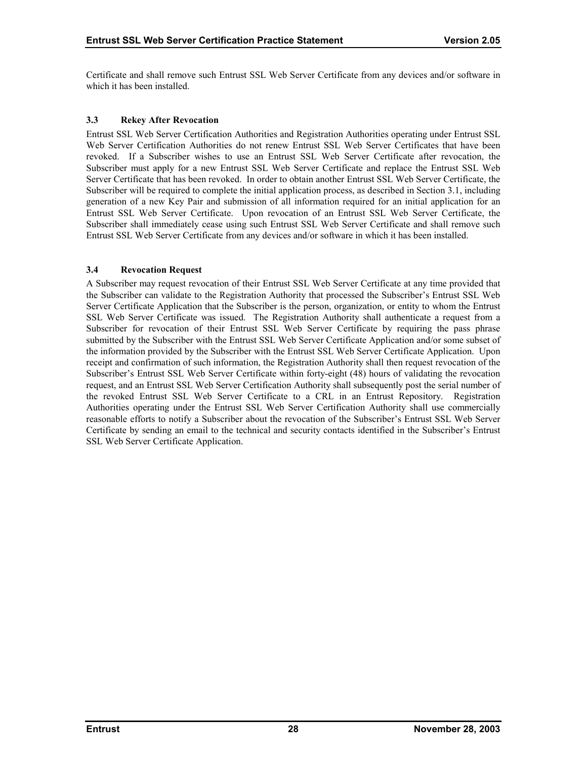<span id="page-32-0"></span>Certificate and shall remove such Entrust SSL Web Server Certificate from any devices and/or software in which it has been installed.

## **3.3 Rekey After Revocation**

Entrust SSL Web Server Certification Authorities and Registration Authorities operating under Entrust SSL Web Server Certification Authorities do not renew Entrust SSL Web Server Certificates that have been revoked. If a Subscriber wishes to use an Entrust SSL Web Server Certificate after revocation, the Subscriber must apply for a new Entrust SSL Web Server Certificate and replace the Entrust SSL Web Server Certificate that has been revoked. In order to obtain another Entrust SSL Web Server Certificate, the Subscriber will be required to complete the initial application process, as described in Section 3.1, including generation of a new Key Pair and submission of all information required for an initial application for an Entrust SSL Web Server Certificate. Upon revocation of an Entrust SSL Web Server Certificate, the Subscriber shall immediately cease using such Entrust SSL Web Server Certificate and shall remove such Entrust SSL Web Server Certificate from any devices and/or software in which it has been installed.

## **3.4 Revocation Request**

A Subscriber may request revocation of their Entrust SSL Web Server Certificate at any time provided that the Subscriber can validate to the Registration Authority that processed the Subscriber's Entrust SSL Web Server Certificate Application that the Subscriber is the person, organization, or entity to whom the Entrust SSL Web Server Certificate was issued. The Registration Authority shall authenticate a request from a Subscriber for revocation of their Entrust SSL Web Server Certificate by requiring the pass phrase submitted by the Subscriber with the Entrust SSL Web Server Certificate Application and/or some subset of the information provided by the Subscriber with the Entrust SSL Web Server Certificate Application. Upon receipt and confirmation of such information, the Registration Authority shall then request revocation of the Subscriber's Entrust SSL Web Server Certificate within forty-eight (48) hours of validating the revocation request, and an Entrust SSL Web Server Certification Authority shall subsequently post the serial number of the revoked Entrust SSL Web Server Certificate to a CRL in an Entrust Repository. Registration Authorities operating under the Entrust SSL Web Server Certification Authority shall use commercially reasonable efforts to notify a Subscriber about the revocation of the Subscriber's Entrust SSL Web Server Certificate by sending an email to the technical and security contacts identified in the Subscriber's Entrust SSL Web Server Certificate Application.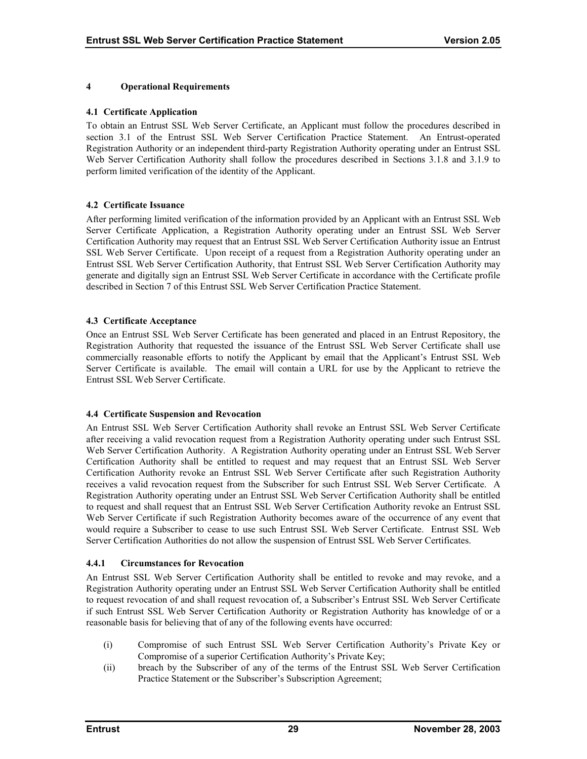## <span id="page-33-0"></span>**4 Operational Requirements**

#### **4.1 Certificate Application**

To obtain an Entrust SSL Web Server Certificate, an Applicant must follow the procedures described in section 3.1 of the Entrust SSL Web Server Certification Practice Statement. An Entrust-operated Registration Authority or an independent third-party Registration Authority operating under an Entrust SSL Web Server Certification Authority shall follow the procedures described in Sections 3.1.8 and 3.1.9 to perform limited verification of the identity of the Applicant.

## **4.2 Certificate Issuance**

After performing limited verification of the information provided by an Applicant with an Entrust SSL Web Server Certificate Application, a Registration Authority operating under an Entrust SSL Web Server Certification Authority may request that an Entrust SSL Web Server Certification Authority issue an Entrust SSL Web Server Certificate. Upon receipt of a request from a Registration Authority operating under an Entrust SSL Web Server Certification Authority, that Entrust SSL Web Server Certification Authority may generate and digitally sign an Entrust SSL Web Server Certificate in accordance with the Certificate profile described in Section 7 of this Entrust SSL Web Server Certification Practice Statement.

#### **4.3 Certificate Acceptance**

Once an Entrust SSL Web Server Certificate has been generated and placed in an Entrust Repository, the Registration Authority that requested the issuance of the Entrust SSL Web Server Certificate shall use commercially reasonable efforts to notify the Applicant by email that the Applicant's Entrust SSL Web Server Certificate is available. The email will contain a URL for use by the Applicant to retrieve the Entrust SSL Web Server Certificate.

#### **4.4 Certificate Suspension and Revocation**

An Entrust SSL Web Server Certification Authority shall revoke an Entrust SSL Web Server Certificate after receiving a valid revocation request from a Registration Authority operating under such Entrust SSL Web Server Certification Authority. A Registration Authority operating under an Entrust SSL Web Server Certification Authority shall be entitled to request and may request that an Entrust SSL Web Server Certification Authority revoke an Entrust SSL Web Server Certificate after such Registration Authority receives a valid revocation request from the Subscriber for such Entrust SSL Web Server Certificate. A Registration Authority operating under an Entrust SSL Web Server Certification Authority shall be entitled to request and shall request that an Entrust SSL Web Server Certification Authority revoke an Entrust SSL Web Server Certificate if such Registration Authority becomes aware of the occurrence of any event that would require a Subscriber to cease to use such Entrust SSL Web Server Certificate. Entrust SSL Web Server Certification Authorities do not allow the suspension of Entrust SSL Web Server Certificates.

#### **4.4.1 Circumstances for Revocation**

An Entrust SSL Web Server Certification Authority shall be entitled to revoke and may revoke, and a Registration Authority operating under an Entrust SSL Web Server Certification Authority shall be entitled to request revocation of and shall request revocation of, a Subscriber's Entrust SSL Web Server Certificate if such Entrust SSL Web Server Certification Authority or Registration Authority has knowledge of or a reasonable basis for believing that of any of the following events have occurred:

- (i) Compromise of such Entrust SSL Web Server Certification Authority's Private Key or Compromise of a superior Certification Authority's Private Key;
- (ii) breach by the Subscriber of any of the terms of the Entrust SSL Web Server Certification Practice Statement or the Subscriber's Subscription Agreement;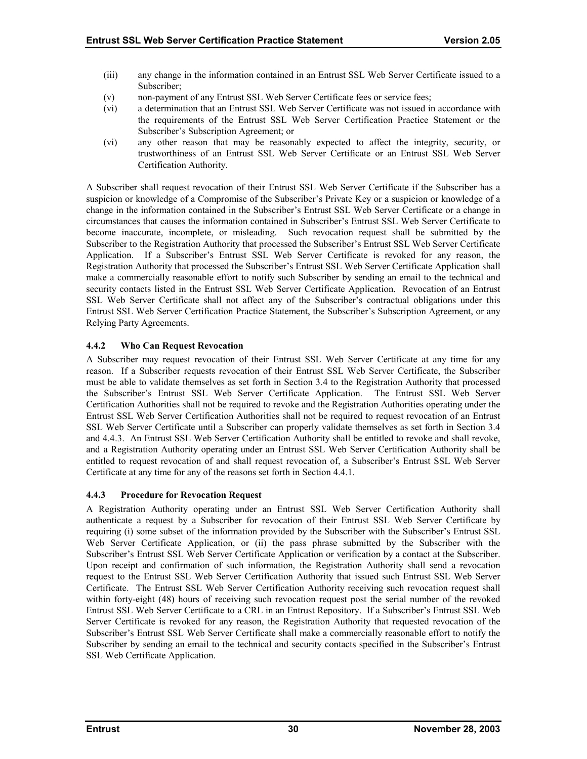- <span id="page-34-0"></span>(iii) any change in the information contained in an Entrust SSL Web Server Certificate issued to a Subscriber;
- (v) non-payment of any Entrust SSL Web Server Certificate fees or service fees;
- (vi) a determination that an Entrust SSL Web Server Certificate was not issued in accordance with the requirements of the Entrust SSL Web Server Certification Practice Statement or the Subscriber's Subscription Agreement; or
- (vi) any other reason that may be reasonably expected to affect the integrity, security, or trustworthiness of an Entrust SSL Web Server Certificate or an Entrust SSL Web Server Certification Authority.

A Subscriber shall request revocation of their Entrust SSL Web Server Certificate if the Subscriber has a suspicion or knowledge of a Compromise of the Subscriber's Private Key or a suspicion or knowledge of a change in the information contained in the Subscriber's Entrust SSL Web Server Certificate or a change in circumstances that causes the information contained in Subscriber's Entrust SSL Web Server Certificate to become inaccurate, incomplete, or misleading. Such revocation request shall be submitted by the Subscriber to the Registration Authority that processed the Subscriber's Entrust SSL Web Server Certificate Application. If a Subscriber's Entrust SSL Web Server Certificate is revoked for any reason, the Registration Authority that processed the Subscriber's Entrust SSL Web Server Certificate Application shall make a commercially reasonable effort to notify such Subscriber by sending an email to the technical and security contacts listed in the Entrust SSL Web Server Certificate Application. Revocation of an Entrust SSL Web Server Certificate shall not affect any of the Subscriber's contractual obligations under this Entrust SSL Web Server Certification Practice Statement, the Subscriber's Subscription Agreement, or any Relying Party Agreements.

## **4.4.2 Who Can Request Revocation**

A Subscriber may request revocation of their Entrust SSL Web Server Certificate at any time for any reason. If a Subscriber requests revocation of their Entrust SSL Web Server Certificate, the Subscriber must be able to validate themselves as set forth in Section 3.4 to the Registration Authority that processed the Subscriber's Entrust SSL Web Server Certificate Application. The Entrust SSL Web Server Certification Authorities shall not be required to revoke and the Registration Authorities operating under the Entrust SSL Web Server Certification Authorities shall not be required to request revocation of an Entrust SSL Web Server Certificate until a Subscriber can properly validate themselves as set forth in Section 3.4 and 4.4.3. An Entrust SSL Web Server Certification Authority shall be entitled to revoke and shall revoke, and a Registration Authority operating under an Entrust SSL Web Server Certification Authority shall be entitled to request revocation of and shall request revocation of, a Subscriber's Entrust SSL Web Server Certificate at any time for any of the reasons set forth in Section 4.4.1.

## **4.4.3 Procedure for Revocation Request**

A Registration Authority operating under an Entrust SSL Web Server Certification Authority shall authenticate a request by a Subscriber for revocation of their Entrust SSL Web Server Certificate by requiring (i) some subset of the information provided by the Subscriber with the Subscriber's Entrust SSL Web Server Certificate Application, or (ii) the pass phrase submitted by the Subscriber with the Subscriber's Entrust SSL Web Server Certificate Application or verification by a contact at the Subscriber. Upon receipt and confirmation of such information, the Registration Authority shall send a revocation request to the Entrust SSL Web Server Certification Authority that issued such Entrust SSL Web Server Certificate. The Entrust SSL Web Server Certification Authority receiving such revocation request shall within forty-eight (48) hours of receiving such revocation request post the serial number of the revoked Entrust SSL Web Server Certificate to a CRL in an Entrust Repository. If a Subscriber's Entrust SSL Web Server Certificate is revoked for any reason, the Registration Authority that requested revocation of the Subscriber's Entrust SSL Web Server Certificate shall make a commercially reasonable effort to notify the Subscriber by sending an email to the technical and security contacts specified in the Subscriber's Entrust SSL Web Certificate Application.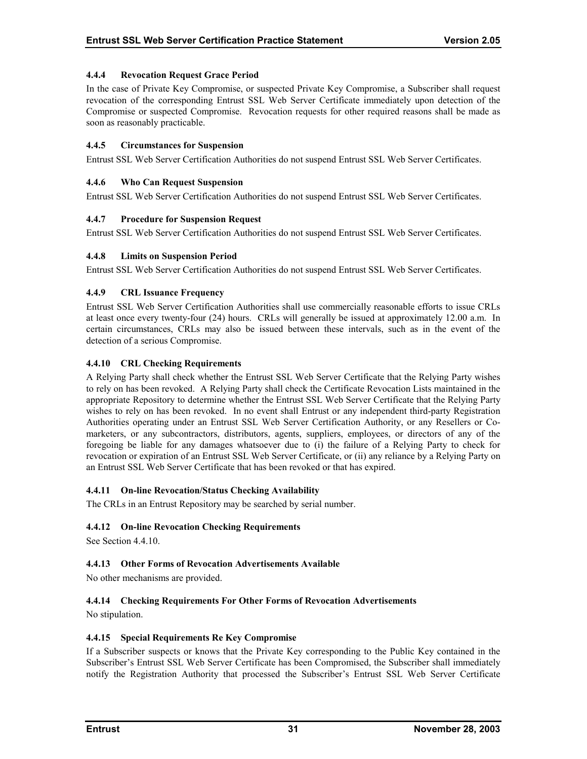## <span id="page-35-0"></span>**4.4.4 Revocation Request Grace Period**

In the case of Private Key Compromise, or suspected Private Key Compromise, a Subscriber shall request revocation of the corresponding Entrust SSL Web Server Certificate immediately upon detection of the Compromise or suspected Compromise. Revocation requests for other required reasons shall be made as soon as reasonably practicable.

#### **4.4.5 Circumstances for Suspension**

Entrust SSL Web Server Certification Authorities do not suspend Entrust SSL Web Server Certificates.

#### **4.4.6 Who Can Request Suspension**

Entrust SSL Web Server Certification Authorities do not suspend Entrust SSL Web Server Certificates.

#### **4.4.7 Procedure for Suspension Request**

Entrust SSL Web Server Certification Authorities do not suspend Entrust SSL Web Server Certificates.

#### **4.4.8 Limits on Suspension Period**

Entrust SSL Web Server Certification Authorities do not suspend Entrust SSL Web Server Certificates.

#### **4.4.9 CRL Issuance Frequency**

Entrust SSL Web Server Certification Authorities shall use commercially reasonable efforts to issue CRLs at least once every twenty-four (24) hours. CRLs will generally be issued at approximately 12.00 a.m. In certain circumstances, CRLs may also be issued between these intervals, such as in the event of the detection of a serious Compromise.

#### **4.4.10 CRL Checking Requirements**

A Relying Party shall check whether the Entrust SSL Web Server Certificate that the Relying Party wishes to rely on has been revoked. A Relying Party shall check the Certificate Revocation Lists maintained in the appropriate Repository to determine whether the Entrust SSL Web Server Certificate that the Relying Party wishes to rely on has been revoked. In no event shall Entrust or any independent third-party Registration Authorities operating under an Entrust SSL Web Server Certification Authority, or any Resellers or Comarketers, or any subcontractors, distributors, agents, suppliers, employees, or directors of any of the foregoing be liable for any damages whatsoever due to (i) the failure of a Relying Party to check for revocation or expiration of an Entrust SSL Web Server Certificate, or (ii) any reliance by a Relying Party on an Entrust SSL Web Server Certificate that has been revoked or that has expired.

## **4.4.11 On-line Revocation/Status Checking Availability**

The CRLs in an Entrust Repository may be searched by serial number.

## **4.4.12 On-line Revocation Checking Requirements**

See Section 4.4.10.

## **4.4.13 Other Forms of Revocation Advertisements Available**

No other mechanisms are provided.

## **4.4.14 Checking Requirements For Other Forms of Revocation Advertisements**

No stipulation.

#### **4.4.15 Special Requirements Re Key Compromise**

If a Subscriber suspects or knows that the Private Key corresponding to the Public Key contained in the Subscriber's Entrust SSL Web Server Certificate has been Compromised, the Subscriber shall immediately notify the Registration Authority that processed the Subscriber's Entrust SSL Web Server Certificate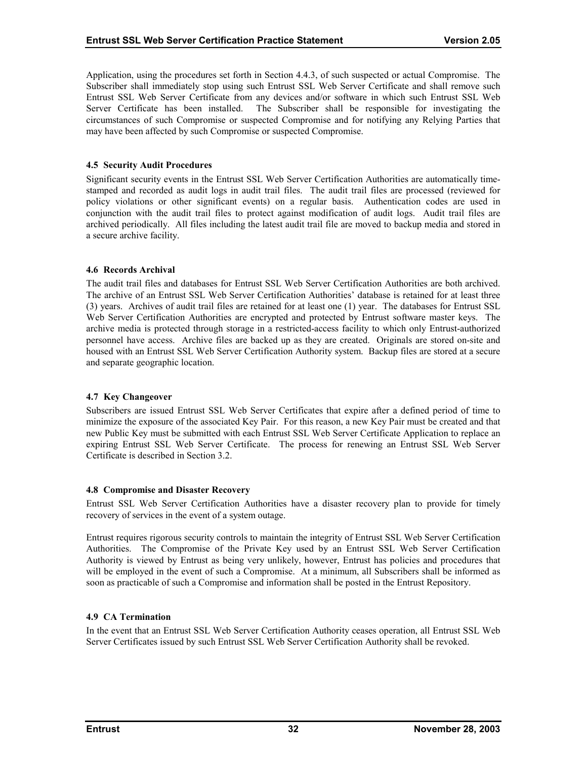<span id="page-36-0"></span>Application, using the procedures set forth in Section 4.4.3, of such suspected or actual Compromise. The Subscriber shall immediately stop using such Entrust SSL Web Server Certificate and shall remove such Entrust SSL Web Server Certificate from any devices and/or software in which such Entrust SSL Web Server Certificate has been installed. The Subscriber shall be responsible for investigating the circumstances of such Compromise or suspected Compromise and for notifying any Relying Parties that may have been affected by such Compromise or suspected Compromise.

#### **4.5 Security Audit Procedures**

Significant security events in the Entrust SSL Web Server Certification Authorities are automatically timestamped and recorded as audit logs in audit trail files. The audit trail files are processed (reviewed for policy violations or other significant events) on a regular basis. Authentication codes are used in conjunction with the audit trail files to protect against modification of audit logs. Audit trail files are archived periodically. All files including the latest audit trail file are moved to backup media and stored in a secure archive facility.

#### **4.6 Records Archival**

The audit trail files and databases for Entrust SSL Web Server Certification Authorities are both archived. The archive of an Entrust SSL Web Server Certification Authorities' database is retained for at least three (3) years. Archives of audit trail files are retained for at least one (1) year. The databases for Entrust SSL Web Server Certification Authorities are encrypted and protected by Entrust software master keys. The archive media is protected through storage in a restricted-access facility to which only Entrust-authorized personnel have access. Archive files are backed up as they are created. Originals are stored on-site and housed with an Entrust SSL Web Server Certification Authority system. Backup files are stored at a secure and separate geographic location.

#### **4.7 Key Changeover**

Subscribers are issued Entrust SSL Web Server Certificates that expire after a defined period of time to minimize the exposure of the associated Key Pair. For this reason, a new Key Pair must be created and that new Public Key must be submitted with each Entrust SSL Web Server Certificate Application to replace an expiring Entrust SSL Web Server Certificate. The process for renewing an Entrust SSL Web Server Certificate is described in Section 3.2.

#### **4.8 Compromise and Disaster Recovery**

Entrust SSL Web Server Certification Authorities have a disaster recovery plan to provide for timely recovery of services in the event of a system outage.

Entrust requires rigorous security controls to maintain the integrity of Entrust SSL Web Server Certification Authorities. The Compromise of the Private Key used by an Entrust SSL Web Server Certification Authority is viewed by Entrust as being very unlikely, however, Entrust has policies and procedures that will be employed in the event of such a Compromise. At a minimum, all Subscribers shall be informed as soon as practicable of such a Compromise and information shall be posted in the Entrust Repository.

## **4.9 CA Termination**

In the event that an Entrust SSL Web Server Certification Authority ceases operation, all Entrust SSL Web Server Certificates issued by such Entrust SSL Web Server Certification Authority shall be revoked.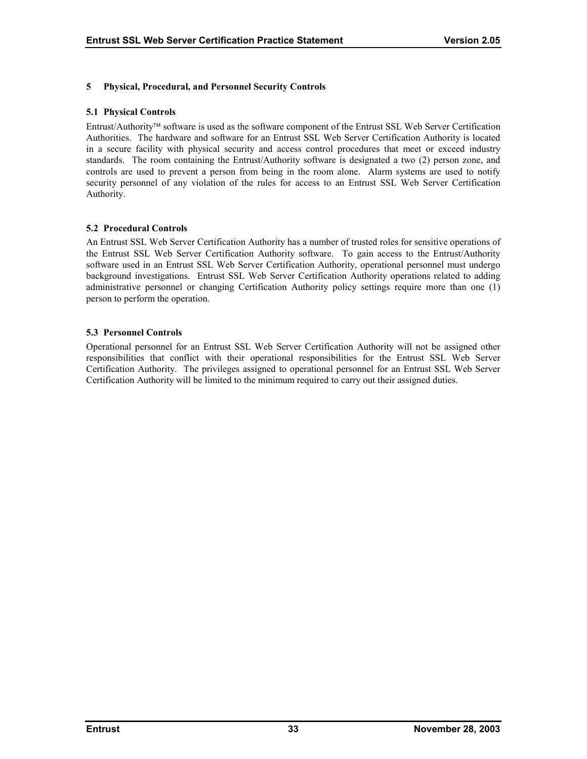## <span id="page-37-0"></span>**5 Physical, Procedural, and Personnel Security Controls**

#### **5.1 Physical Controls**

Entrust/Authority software is used as the software component of the Entrust SSL Web Server Certification Authorities. The hardware and software for an Entrust SSL Web Server Certification Authority is located in a secure facility with physical security and access control procedures that meet or exceed industry standards. The room containing the Entrust/Authority software is designated a two (2) person zone, and controls are used to prevent a person from being in the room alone. Alarm systems are used to notify security personnel of any violation of the rules for access to an Entrust SSL Web Server Certification Authority.

#### **5.2 Procedural Controls**

An Entrust SSL Web Server Certification Authority has a number of trusted roles for sensitive operations of the Entrust SSL Web Server Certification Authority software. To gain access to the Entrust/Authority software used in an Entrust SSL Web Server Certification Authority, operational personnel must undergo background investigations. Entrust SSL Web Server Certification Authority operations related to adding administrative personnel or changing Certification Authority policy settings require more than one (1) person to perform the operation.

#### **5.3 Personnel Controls**

Operational personnel for an Entrust SSL Web Server Certification Authority will not be assigned other responsibilities that conflict with their operational responsibilities for the Entrust SSL Web Server Certification Authority. The privileges assigned to operational personnel for an Entrust SSL Web Server Certification Authority will be limited to the minimum required to carry out their assigned duties.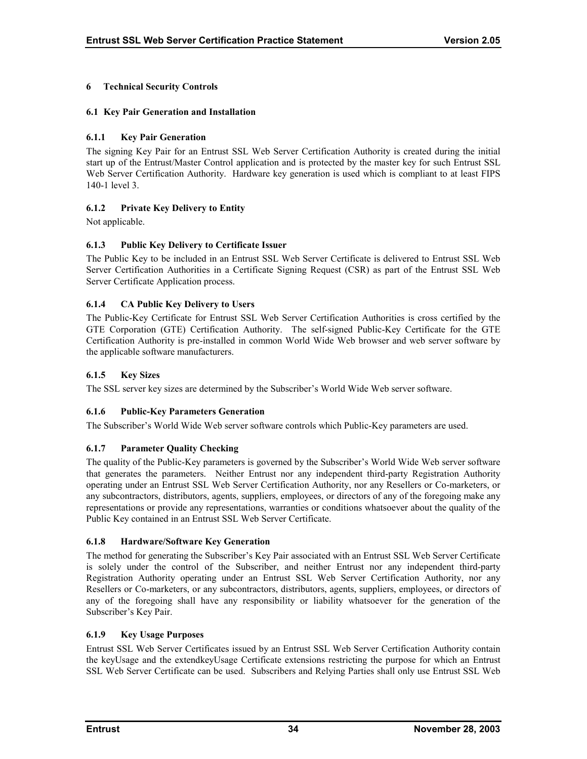## <span id="page-38-0"></span>**6 Technical Security Controls**

## **6.1 Key Pair Generation and Installation**

## **6.1.1 Key Pair Generation**

The signing Key Pair for an Entrust SSL Web Server Certification Authority is created during the initial start up of the Entrust/Master Control application and is protected by the master key for such Entrust SSL Web Server Certification Authority. Hardware key generation is used which is compliant to at least FIPS 140-1 level 3.

## **6.1.2 Private Key Delivery to Entity**

Not applicable.

## **6.1.3 Public Key Delivery to Certificate Issuer**

The Public Key to be included in an Entrust SSL Web Server Certificate is delivered to Entrust SSL Web Server Certification Authorities in a Certificate Signing Request (CSR) as part of the Entrust SSL Web Server Certificate Application process.

## **6.1.4 CA Public Key Delivery to Users**

The Public-Key Certificate for Entrust SSL Web Server Certification Authorities is cross certified by the GTE Corporation (GTE) Certification Authority. The self-signed Public-Key Certificate for the GTE Certification Authority is pre-installed in common World Wide Web browser and web server software by the applicable software manufacturers.

#### **6.1.5 Key Sizes**

The SSL server key sizes are determined by the Subscriber's World Wide Web server software.

## **6.1.6 Public-Key Parameters Generation**

The Subscriber's World Wide Web server software controls which Public-Key parameters are used.

## **6.1.7 Parameter Quality Checking**

The quality of the Public-Key parameters is governed by the Subscriber's World Wide Web server software that generates the parameters. Neither Entrust nor any independent third-party Registration Authority operating under an Entrust SSL Web Server Certification Authority, nor any Resellers or Co-marketers, or any subcontractors, distributors, agents, suppliers, employees, or directors of any of the foregoing make any representations or provide any representations, warranties or conditions whatsoever about the quality of the Public Key contained in an Entrust SSL Web Server Certificate.

#### **6.1.8 Hardware/Software Key Generation**

The method for generating the Subscriber's Key Pair associated with an Entrust SSL Web Server Certificate is solely under the control of the Subscriber, and neither Entrust nor any independent third-party Registration Authority operating under an Entrust SSL Web Server Certification Authority, nor any Resellers or Co-marketers, or any subcontractors, distributors, agents, suppliers, employees, or directors of any of the foregoing shall have any responsibility or liability whatsoever for the generation of the Subscriber's Key Pair.

#### **6.1.9 Key Usage Purposes**

Entrust SSL Web Server Certificates issued by an Entrust SSL Web Server Certification Authority contain the keyUsage and the extendkeyUsage Certificate extensions restricting the purpose for which an Entrust SSL Web Server Certificate can be used. Subscribers and Relying Parties shall only use Entrust SSL Web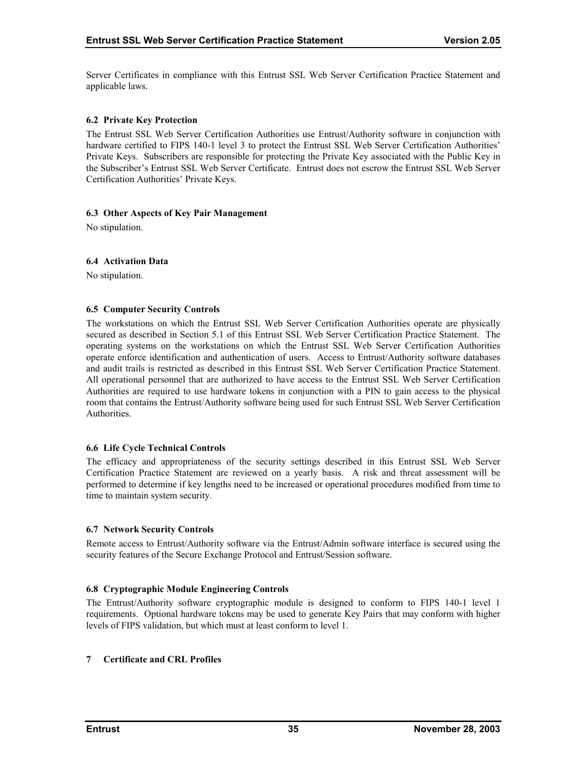<span id="page-39-0"></span>Server Certificates in compliance with this Entrust SSL Web Server Certification Practice Statement and applicable laws.

#### **6.2 Private Key Protection**

The Entrust SSL Web Server Certification Authorities use Entrust/Authority software in conjunction with hardware certified to FIPS 140-1 level 3 to protect the Entrust SSL Web Server Certification Authorities' Private Keys. Subscribers are responsible for protecting the Private Key associated with the Public Key in the Subscriber's Entrust SSL Web Server Certificate. Entrust does not escrow the Entrust SSL Web Server Certification Authorities' Private Keys.

#### **6.3 Other Aspects of Key Pair Management**

No stipulation.

#### **6.4 Activation Data**

No stipulation.

#### **6.5 Computer Security Controls**

The workstations on which the Entrust SSL Web Server Certification Authorities operate are physically secured as described in Section 5.1 of this Entrust SSL Web Server Certification Practice Statement. The operating systems on the workstations on which the Entrust SSL Web Server Certification Authorities operate enforce identification and authentication of users. Access to Entrust/Authority software databases and audit trails is restricted as described in this Entrust SSL Web Server Certification Practice Statement. All operational personnel that are authorized to have access to the Entrust SSL Web Server Certification Authorities are required to use hardware tokens in conjunction with a PIN to gain access to the physical room that contains the Entrust/Authority software being used for such Entrust SSL Web Server Certification **Authorities** 

#### **6.6 Life Cycle Technical Controls**

The efficacy and appropriateness of the security settings described in this Entrust SSL Web Server Certification Practice Statement are reviewed on a yearly basis. A risk and threat assessment will be performed to determine if key lengths need to be increased or operational procedures modified from time to time to maintain system security.

#### **6.7 Network Security Controls**

Remote access to Entrust/Authority software via the Entrust/Admin software interface is secured using the security features of the Secure Exchange Protocol and Entrust/Session software.

## **6.8 Cryptographic Module Engineering Controls**

The Entrust/Authority software cryptographic module is designed to conform to FIPS 140-1 level 1 requirements. Optional hardware tokens may be used to generate Key Pairs that may conform with higher levels of FIPS validation, but which must at least conform to level 1.

#### **7 Certificate and CRL Profiles**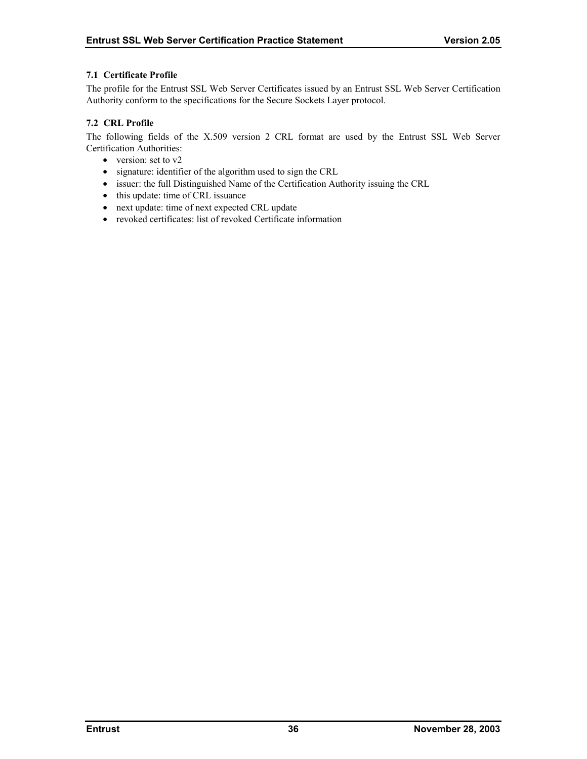#### <span id="page-40-0"></span>**7.1 Certificate Profile**

The profile for the Entrust SSL Web Server Certificates issued by an Entrust SSL Web Server Certification Authority conform to the specifications for the Secure Sockets Layer protocol.

#### **7.2 CRL Profile**

The following fields of the X.509 version 2 CRL format are used by the Entrust SSL Web Server Certification Authorities:

- version: set to v2
- signature: identifier of the algorithm used to sign the CRL
- issuer: the full Distinguished Name of the Certification Authority issuing the CRL
- this update: time of CRL issuance
- next update: time of next expected CRL update
- revoked certificates: list of revoked Certificate information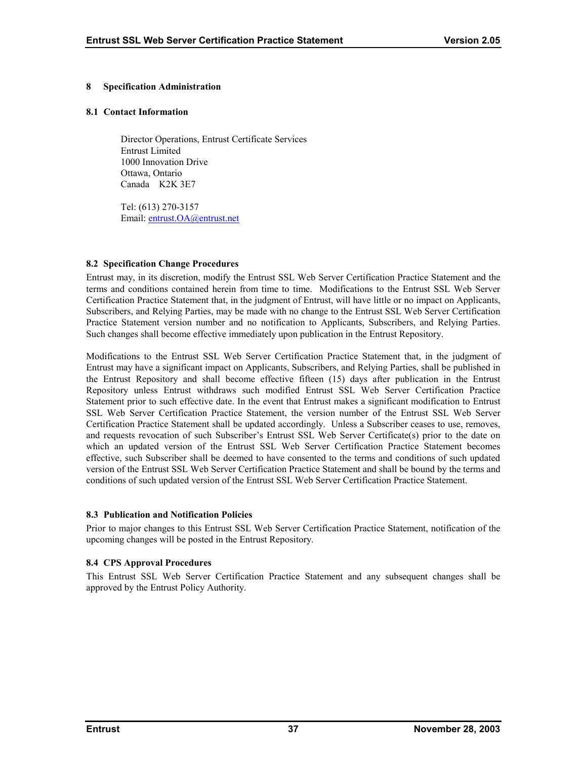#### <span id="page-41-0"></span>**8 Specification Administration**

#### **8.1 Contact Information**

Director Operations, Entrust Certificate Services Entrust Limited 1000 Innovation Drive Ottawa, Ontario Canada K2K 3E7

Tel: (613) 270-3157 Email: [entrust.OA@entrust.net](mailto:???@entrust.net)

#### **8.2 Specification Change Procedures**

Entrust may, in its discretion, modify the Entrust SSL Web Server Certification Practice Statement and the terms and conditions contained herein from time to time. Modifications to the Entrust SSL Web Server Certification Practice Statement that, in the judgment of Entrust, will have little or no impact on Applicants, Subscribers, and Relying Parties, may be made with no change to the Entrust SSL Web Server Certification Practice Statement version number and no notification to Applicants, Subscribers, and Relying Parties. Such changes shall become effective immediately upon publication in the Entrust Repository.

Modifications to the Entrust SSL Web Server Certification Practice Statement that, in the judgment of Entrust may have a significant impact on Applicants, Subscribers, and Relying Parties, shall be published in the Entrust Repository and shall become effective fifteen (15) days after publication in the Entrust Repository unless Entrust withdraws such modified Entrust SSL Web Server Certification Practice Statement prior to such effective date. In the event that Entrust makes a significant modification to Entrust SSL Web Server Certification Practice Statement, the version number of the Entrust SSL Web Server Certification Practice Statement shall be updated accordingly. Unless a Subscriber ceases to use, removes, and requests revocation of such Subscriber's Entrust SSL Web Server Certificate(s) prior to the date on which an updated version of the Entrust SSL Web Server Certification Practice Statement becomes effective, such Subscriber shall be deemed to have consented to the terms and conditions of such updated version of the Entrust SSL Web Server Certification Practice Statement and shall be bound by the terms and conditions of such updated version of the Entrust SSL Web Server Certification Practice Statement.

#### **8.3 Publication and Notification Policies**

Prior to major changes to this Entrust SSL Web Server Certification Practice Statement, notification of the upcoming changes will be posted in the Entrust Repository.

## **8.4 CPS Approval Procedures**

This Entrust SSL Web Server Certification Practice Statement and any subsequent changes shall be approved by the Entrust Policy Authority.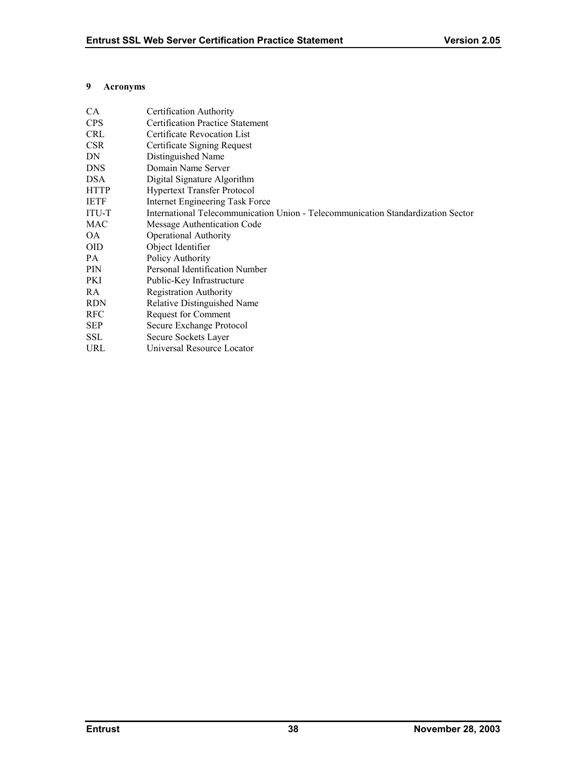#### <span id="page-42-0"></span>**9 Acronyms**

| CA.         | Certification Authority                                                          |
|-------------|----------------------------------------------------------------------------------|
| <b>CPS</b>  | <b>Certification Practice Statement</b>                                          |
| <b>CRL</b>  | Certificate Revocation List                                                      |
| <b>CSR</b>  | Certificate Signing Request                                                      |
| DN          | Distinguished Name                                                               |
| <b>DNS</b>  | Domain Name Server                                                               |
| <b>DSA</b>  | Digital Signature Algorithm                                                      |
| <b>HTTP</b> | <b>Hypertext Transfer Protocol</b>                                               |
| <b>IETF</b> | Internet Engineering Task Force                                                  |
| ITU-T       | International Telecommunication Union - Telecommunication Standardization Sector |
| MAC         | Message Authentication Code                                                      |
| OA.         | <b>Operational Authority</b>                                                     |
| <b>OID</b>  | Object Identifier                                                                |
| PA          | Policy Authority                                                                 |
| <b>PIN</b>  | Personal Identification Number                                                   |
| PKI         | Public-Key Infrastructure                                                        |
| RA          | <b>Registration Authority</b>                                                    |
| <b>RDN</b>  | Relative Distinguished Name                                                      |
| <b>RFC</b>  | <b>Request for Comment</b>                                                       |
| <b>SEP</b>  | Secure Exchange Protocol                                                         |
| <b>SSL</b>  | Secure Sockets Layer                                                             |
| <b>URL</b>  | Universal Resource Locator                                                       |
|             |                                                                                  |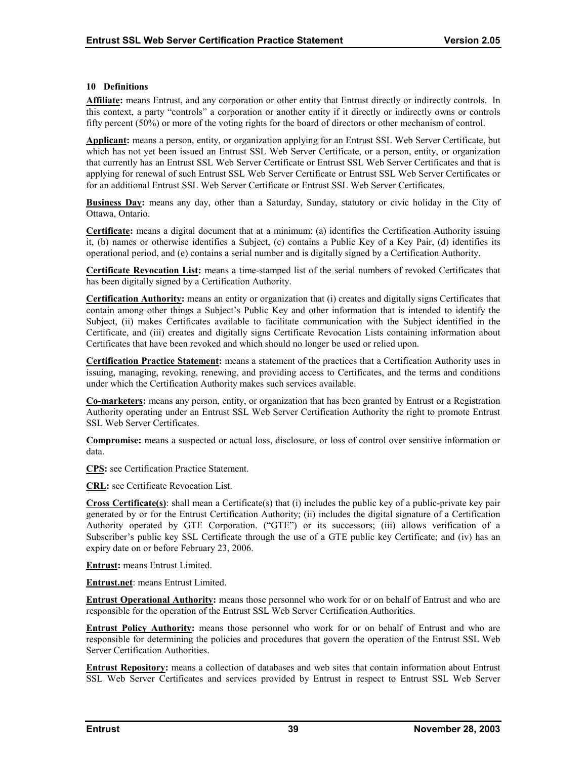#### <span id="page-43-0"></span>**10 Definitions**

**Affiliate:** means Entrust, and any corporation or other entity that Entrust directly or indirectly controls. In this context, a party "controls" a corporation or another entity if it directly or indirectly owns or controls fifty percent (50%) or more of the voting rights for the board of directors or other mechanism of control.

**Applicant:** means a person, entity, or organization applying for an Entrust SSL Web Server Certificate, but which has not yet been issued an Entrust SSL Web Server Certificate, or a person, entity, or organization that currently has an Entrust SSL Web Server Certificate or Entrust SSL Web Server Certificates and that is applying for renewal of such Entrust SSL Web Server Certificate or Entrust SSL Web Server Certificates or for an additional Entrust SSL Web Server Certificate or Entrust SSL Web Server Certificates.

**Business Day:** means any day, other than a Saturday, Sunday, statutory or civic holiday in the City of Ottawa, Ontario.

**Certificate:** means a digital document that at a minimum: (a) identifies the Certification Authority issuing it, (b) names or otherwise identifies a Subject, (c) contains a Public Key of a Key Pair, (d) identifies its operational period, and (e) contains a serial number and is digitally signed by a Certification Authority.

**Certificate Revocation List:** means a time-stamped list of the serial numbers of revoked Certificates that has been digitally signed by a Certification Authority.

**Certification Authority:** means an entity or organization that (i) creates and digitally signs Certificates that contain among other things a Subject's Public Key and other information that is intended to identify the Subject, (ii) makes Certificates available to facilitate communication with the Subject identified in the Certificate, and (iii) creates and digitally signs Certificate Revocation Lists containing information about Certificates that have been revoked and which should no longer be used or relied upon.

**Certification Practice Statement:** means a statement of the practices that a Certification Authority uses in issuing, managing, revoking, renewing, and providing access to Certificates, and the terms and conditions under which the Certification Authority makes such services available.

**Co-marketers:** means any person, entity, or organization that has been granted by Entrust or a Registration Authority operating under an Entrust SSL Web Server Certification Authority the right to promote Entrust SSL Web Server Certificates.

**Compromise:** means a suspected or actual loss, disclosure, or loss of control over sensitive information or data.

**CPS:** see Certification Practice Statement.

**CRL:** see Certificate Revocation List.

**Cross Certificate(s)**: shall mean a Certificate(s) that (i) includes the public key of a public-private key pair generated by or for the Entrust Certification Authority; (ii) includes the digital signature of a Certification Authority operated by GTE Corporation. ("GTE") or its successors; (iii) allows verification of a Subscriber's public key SSL Certificate through the use of a GTE public key Certificate; and (iv) has an expiry date on or before February 23, 2006.

**Entrust:** means Entrust Limited.

**Entrust.net**: means Entrust Limited.

**Entrust Operational Authority:** means those personnel who work for or on behalf of Entrust and who are responsible for the operation of the Entrust SSL Web Server Certification Authorities.

**Entrust Policy Authority:** means those personnel who work for or on behalf of Entrust and who are responsible for determining the policies and procedures that govern the operation of the Entrust SSL Web Server Certification Authorities.

**Entrust Repository:** means a collection of databases and web sites that contain information about Entrust SSL Web Server Certificates and services provided by Entrust in respect to Entrust SSL Web Server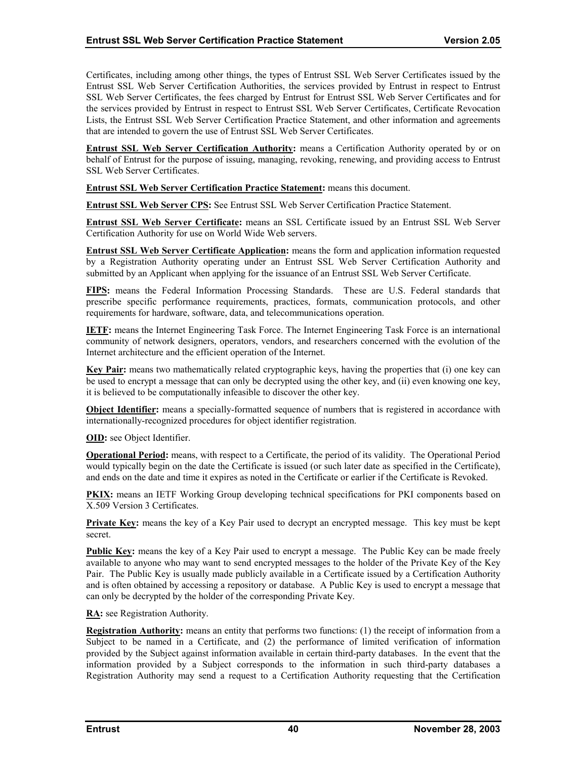Certificates, including among other things, the types of Entrust SSL Web Server Certificates issued by the Entrust SSL Web Server Certification Authorities, the services provided by Entrust in respect to Entrust SSL Web Server Certificates, the fees charged by Entrust for Entrust SSL Web Server Certificates and for the services provided by Entrust in respect to Entrust SSL Web Server Certificates, Certificate Revocation Lists, the Entrust SSL Web Server Certification Practice Statement, and other information and agreements that are intended to govern the use of Entrust SSL Web Server Certificates.

**Entrust SSL Web Server Certification Authority:** means a Certification Authority operated by or on behalf of Entrust for the purpose of issuing, managing, revoking, renewing, and providing access to Entrust SSL Web Server Certificates.

**Entrust SSL Web Server Certification Practice Statement:** means this document.

**Entrust SSL Web Server CPS:** See Entrust SSL Web Server Certification Practice Statement.

**Entrust SSL Web Server Certificate:** means an SSL Certificate issued by an Entrust SSL Web Server Certification Authority for use on World Wide Web servers.

**Entrust SSL Web Server Certificate Application:** means the form and application information requested by a Registration Authority operating under an Entrust SSL Web Server Certification Authority and submitted by an Applicant when applying for the issuance of an Entrust SSL Web Server Certificate.

**FIPS:** means the Federal Information Processing Standards. These are U.S. Federal standards that prescribe specific performance requirements, practices, formats, communication protocols, and other requirements for hardware, software, data, and telecommunications operation.

**IETF:** means the Internet Engineering Task Force. The Internet Engineering Task Force is an international community of network designers, operators, vendors, and researchers concerned with the evolution of the Internet architecture and the efficient operation of the Internet.

**Key Pair:** means two mathematically related cryptographic keys, having the properties that (i) one key can be used to encrypt a message that can only be decrypted using the other key, and (ii) even knowing one key, it is believed to be computationally infeasible to discover the other key.

**Object Identifier:** means a specially-formatted sequence of numbers that is registered in accordance with internationally-recognized procedures for object identifier registration.

**OID:** see Object Identifier.

**Operational Period:** means, with respect to a Certificate, the period of its validity. The Operational Period would typically begin on the date the Certificate is issued (or such later date as specified in the Certificate), and ends on the date and time it expires as noted in the Certificate or earlier if the Certificate is Revoked.

**PKIX:** means an IETF Working Group developing technical specifications for PKI components based on X.509 Version 3 Certificates.

**Private Key:** means the key of a Key Pair used to decrypt an encrypted message. This key must be kept secret.

**Public Key:** means the key of a Key Pair used to encrypt a message. The Public Key can be made freely available to anyone who may want to send encrypted messages to the holder of the Private Key of the Key Pair. The Public Key is usually made publicly available in a Certificate issued by a Certification Authority and is often obtained by accessing a repository or database. A Public Key is used to encrypt a message that can only be decrypted by the holder of the corresponding Private Key.

**RA:** see Registration Authority.

**Registration Authority:** means an entity that performs two functions: (1) the receipt of information from a Subject to be named in a Certificate, and (2) the performance of limited verification of information provided by the Subject against information available in certain third-party databases. In the event that the information provided by a Subject corresponds to the information in such third-party databases a Registration Authority may send a request to a Certification Authority requesting that the Certification